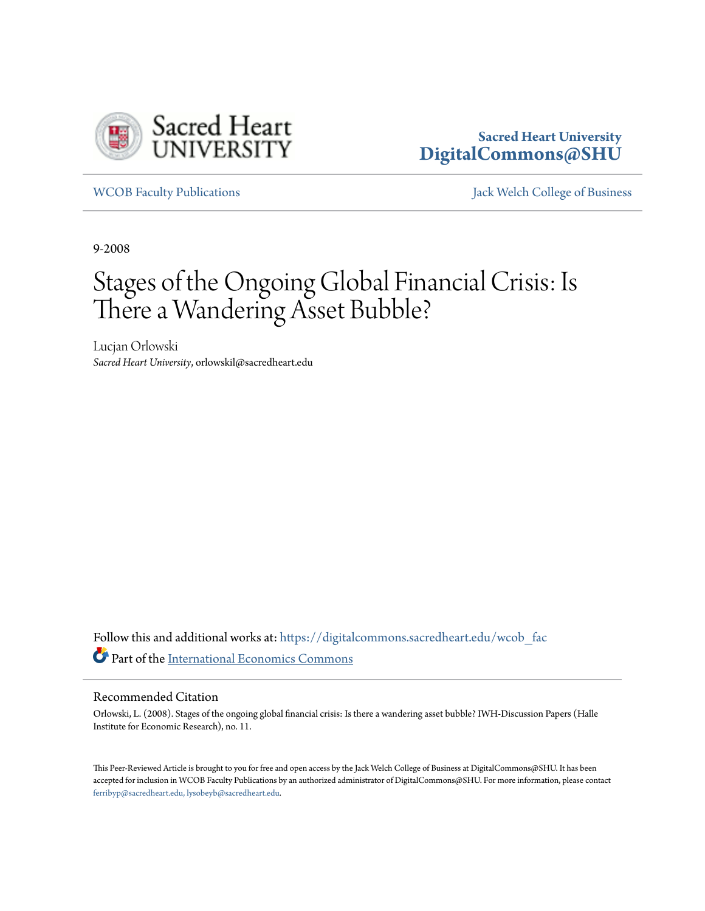

#### **Sacred Heart University [DigitalCommons@SHU](https://digitalcommons.sacredheart.edu?utm_source=digitalcommons.sacredheart.edu%2Fwcob_fac%2F208&utm_medium=PDF&utm_campaign=PDFCoverPages)**

[WCOB Faculty Publications](https://digitalcommons.sacredheart.edu/wcob_fac?utm_source=digitalcommons.sacredheart.edu%2Fwcob_fac%2F208&utm_medium=PDF&utm_campaign=PDFCoverPages) [Jack Welch College of Business](https://digitalcommons.sacredheart.edu/wcob?utm_source=digitalcommons.sacredheart.edu%2Fwcob_fac%2F208&utm_medium=PDF&utm_campaign=PDFCoverPages)

9-2008

## Stages of the Ongoing Global Financial Crisis: Is There a Wandering Asset Bubble?

Lucjan Orlowski *Sacred Heart University*, orlowskil@sacredheart.edu

Follow this and additional works at: [https://digitalcommons.sacredheart.edu/wcob\\_fac](https://digitalcommons.sacredheart.edu/wcob_fac?utm_source=digitalcommons.sacredheart.edu%2Fwcob_fac%2F208&utm_medium=PDF&utm_campaign=PDFCoverPages) Part of the [International Economics Commons](http://network.bepress.com/hgg/discipline/348?utm_source=digitalcommons.sacredheart.edu%2Fwcob_fac%2F208&utm_medium=PDF&utm_campaign=PDFCoverPages)

#### Recommended Citation

Orlowski, L. (2008). Stages of the ongoing global financial crisis: Is there a wandering asset bubble? IWH-Discussion Papers (Halle Institute for Economic Research), no. 11.

This Peer-Reviewed Article is brought to you for free and open access by the Jack Welch College of Business at DigitalCommons@SHU. It has been accepted for inclusion in WCOB Faculty Publications by an authorized administrator of DigitalCommons@SHU. For more information, please contact [ferribyp@sacredheart.edu, lysobeyb@sacredheart.edu.](mailto:ferribyp@sacredheart.edu,%20lysobeyb@sacredheart.edu)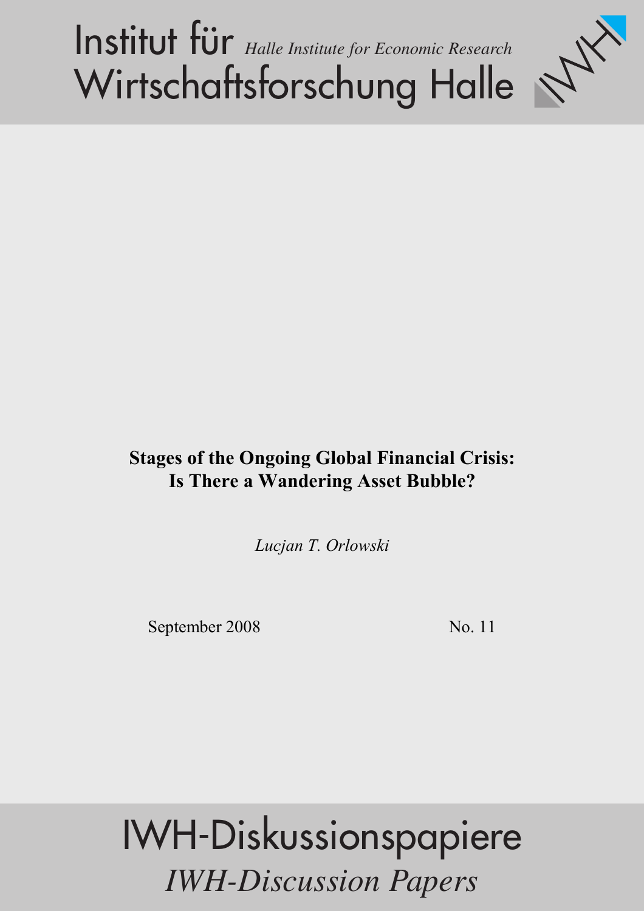# Institut für *Halle Institute for Economic Research* Wirtschaftsforschung Halle



## Stages of the Ongoing Global Financial Crisis: Is There a Wandering Asset Bubble?

Lucjan T. Orlowski

September 2008 No. 11

## IWH-Diskussionspapiere *IWH-Discussion Papers*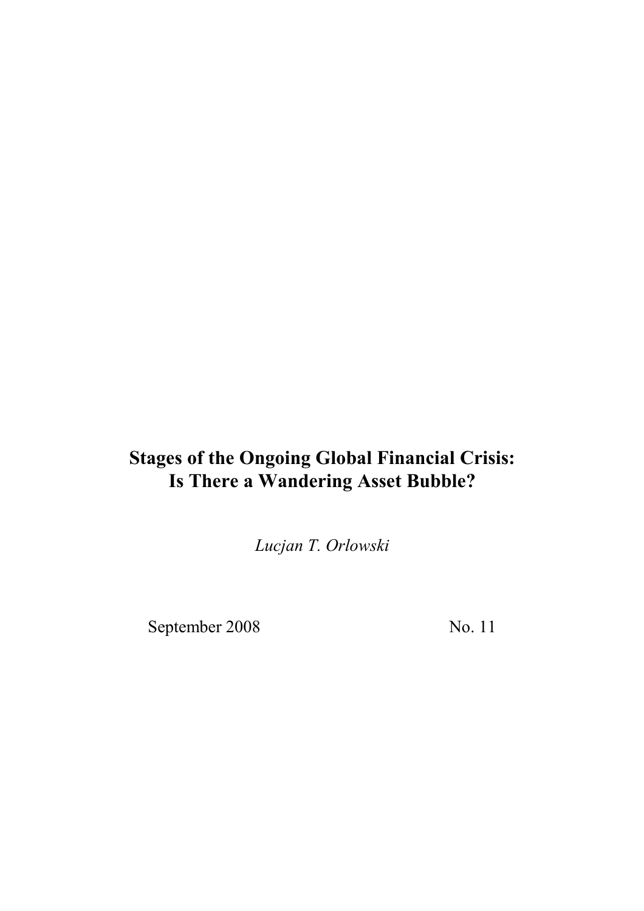## Stages of the Ongoing Global Financial Crisis: Is There a Wandering Asset Bubble?

Lucjan T. Orlowski

September 2008 No. 11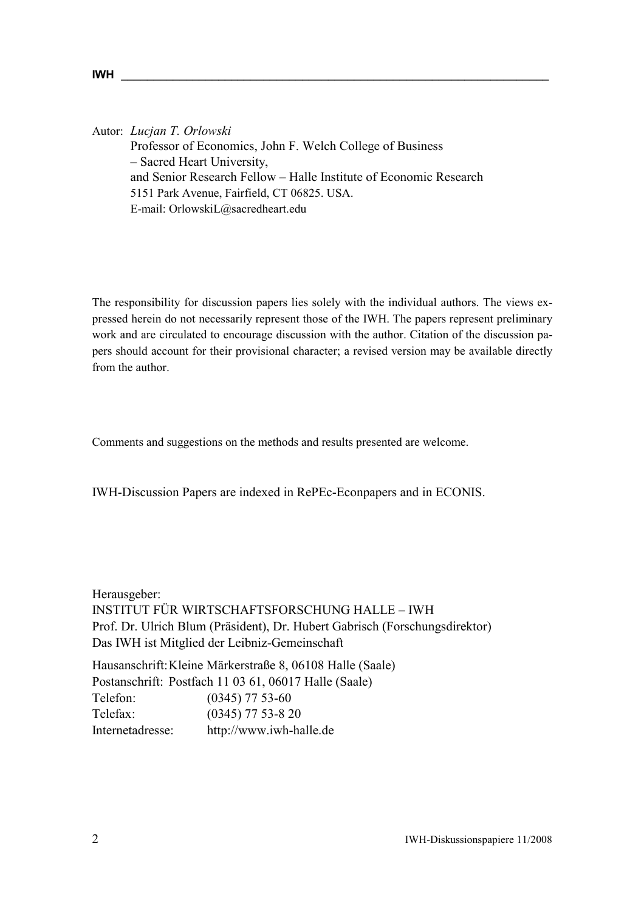IWH \_\_\_\_\_\_\_\_\_\_\_\_\_\_\_\_\_\_\_\_\_\_\_\_\_\_\_\_\_\_\_\_\_\_\_\_\_\_\_\_\_\_\_\_\_\_\_\_\_\_\_\_\_\_\_\_\_\_\_\_\_\_\_\_\_\_

Autor: Lucjan T. Orlowski Professor of Economics, John F. Welch College of Business – Sacred Heart University, and Senior Research Fellow – Halle Institute of Economic Research 5151 Park Avenue, Fairfield, CT 06825. USA. E-mail: OrlowskiL@sacredheart.edu

The responsibility for discussion papers lies solely with the individual authors. The views expressed herein do not necessarily represent those of the IWH. The papers represent preliminary work and are circulated to encourage discussion with the author. Citation of the discussion papers should account for their provisional character; a revised version may be available directly from the author.

Comments and suggestions on the methods and results presented are welcome.

IWH-Discussion Papers are indexed in RePEc-Econpapers and in ECONIS.

Herausgeber:

INSTITUT FÜR WIRTSCHAFTSFORSCHUNG HALLE – IWH Prof. Dr. Ulrich Blum (Präsident), Dr. Hubert Gabrisch (Forschungsdirektor) Das IWH ist Mitglied der Leibniz-Gemeinschaft

Hausanschrift: Kleine Märkerstraße 8, 06108 Halle (Saale) Postanschrift: Postfach 11 03 61, 06017 Halle (Saale) Telefon: (0345) 77 53-60 Telefax: (0345) 77 53-8 20 Internetadresse: http://www.iwh-halle.de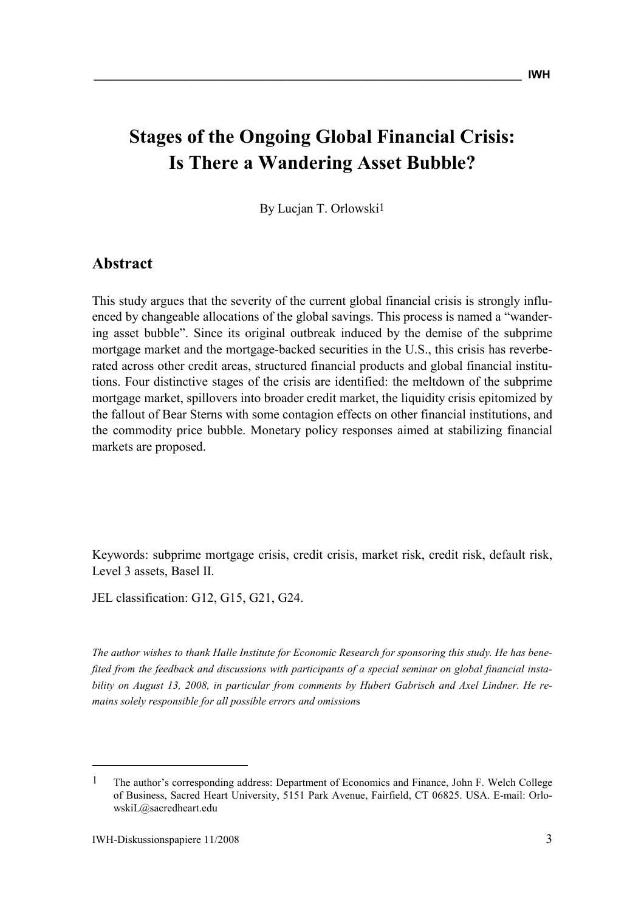\_\_\_\_\_\_\_\_\_\_\_\_\_\_\_\_\_\_\_\_\_\_\_\_\_\_\_\_\_\_\_\_\_\_\_\_\_\_\_\_\_\_\_\_\_\_\_\_\_\_\_\_\_\_\_\_\_\_\_\_\_\_\_\_\_\_ IWH

By Lucjan T. Orlowski1

#### Abstract

This study argues that the severity of the current global financial crisis is strongly influenced by changeable allocations of the global savings. This process is named a "wandering asset bubble". Since its original outbreak induced by the demise of the subprime mortgage market and the mortgage-backed securities in the U.S., this crisis has reverberated across other credit areas, structured financial products and global financial institutions. Four distinctive stages of the crisis are identified: the meltdown of the subprime mortgage market, spillovers into broader credit market, the liquidity crisis epitomized by the fallout of Bear Sterns with some contagion effects on other financial institutions, and the commodity price bubble. Monetary policy responses aimed at stabilizing financial markets are proposed.

Keywords: subprime mortgage crisis, credit crisis, market risk, credit risk, default risk, Level 3 assets, Basel II.

JEL classification: G12, G15, G21, G24.

The author wishes to thank Halle Institute for Economic Research for sponsoring this study. He has benefited from the feedback and discussions with participants of a special seminar on global financial instability on August 13, 2008, in particular from comments by Hubert Gabrisch and Axel Lindner. He remains solely responsible for all possible errors and omissions

<sup>1</sup> The author's corresponding address: Department of Economics and Finance, John F. Welch College of Business, Sacred Heart University, 5151 Park Avenue, Fairfield, CT 06825. USA. E-mail: OrlowskiL@sacredheart.edu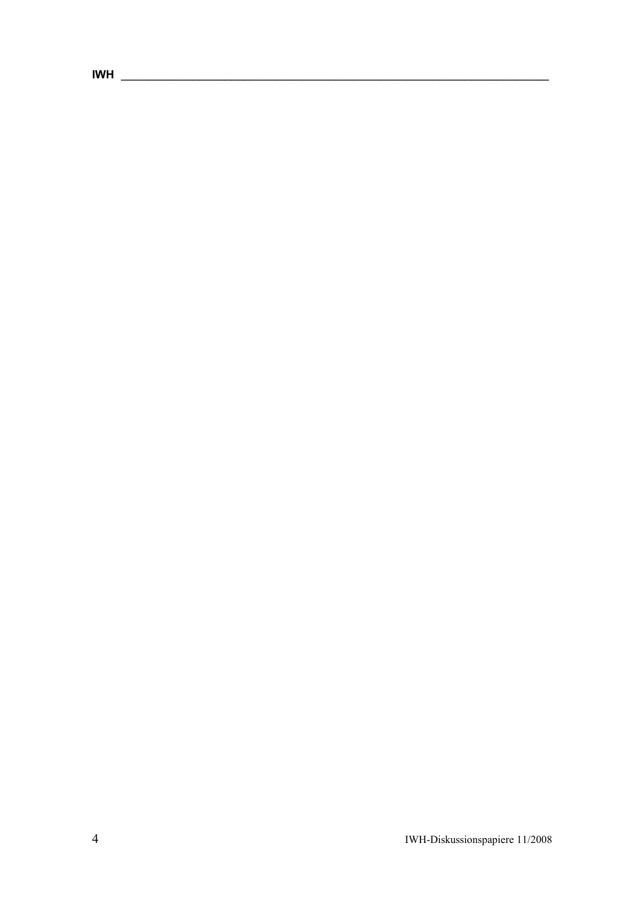$IWH$   $\overline{\phantom{a}}$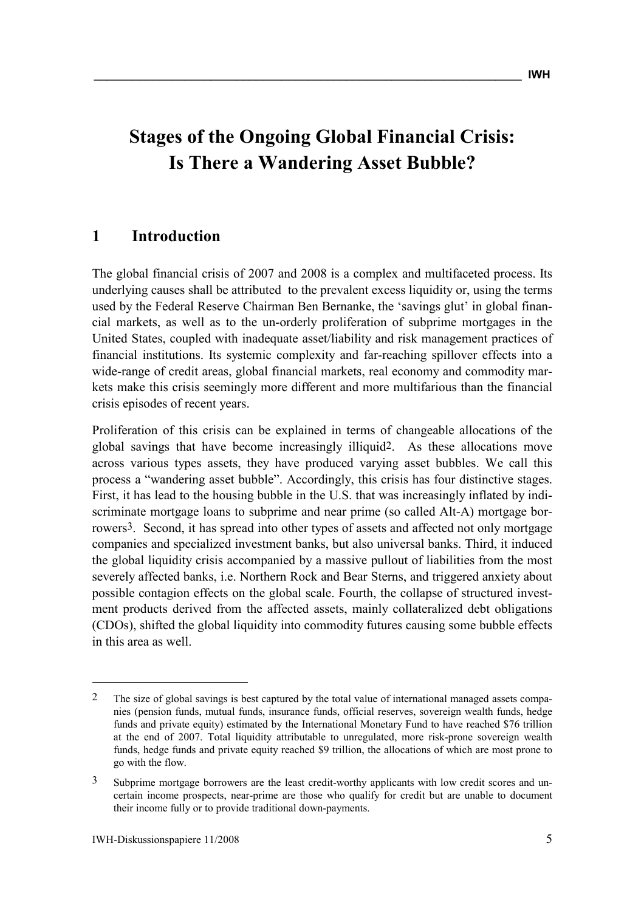#### 1 Introduction

The global financial crisis of 2007 and 2008 is a complex and multifaceted process. Its underlying causes shall be attributed to the prevalent excess liquidity or, using the terms used by the Federal Reserve Chairman Ben Bernanke, the 'savings glut' in global financial markets, as well as to the un-orderly proliferation of subprime mortgages in the United States, coupled with inadequate asset/liability and risk management practices of financial institutions. Its systemic complexity and far-reaching spillover effects into a wide-range of credit areas, global financial markets, real economy and commodity markets make this crisis seemingly more different and more multifarious than the financial crisis episodes of recent years.

Proliferation of this crisis can be explained in terms of changeable allocations of the global savings that have become increasingly illiquid2. As these allocations move across various types assets, they have produced varying asset bubbles. We call this process a "wandering asset bubble". Accordingly, this crisis has four distinctive stages. First, it has lead to the housing bubble in the U.S. that was increasingly inflated by indiscriminate mortgage loans to subprime and near prime (so called Alt-A) mortgage borrowers3. Second, it has spread into other types of assets and affected not only mortgage companies and specialized investment banks, but also universal banks. Third, it induced the global liquidity crisis accompanied by a massive pullout of liabilities from the most severely affected banks, i.e. Northern Rock and Bear Sterns, and triggered anxiety about possible contagion effects on the global scale. Fourth, the collapse of structured investment products derived from the affected assets, mainly collateralized debt obligations (CDOs), shifted the global liquidity into commodity futures causing some bubble effects in this area as well.

<sup>2</sup> The size of global savings is best captured by the total value of international managed assets companies (pension funds, mutual funds, insurance funds, official reserves, sovereign wealth funds, hedge funds and private equity) estimated by the International Monetary Fund to have reached \$76 trillion at the end of 2007. Total liquidity attributable to unregulated, more risk-prone sovereign wealth funds, hedge funds and private equity reached \$9 trillion, the allocations of which are most prone to go with the flow.

<sup>3</sup> Subprime mortgage borrowers are the least credit-worthy applicants with low credit scores and uncertain income prospects, near-prime are those who qualify for credit but are unable to document their income fully or to provide traditional down-payments.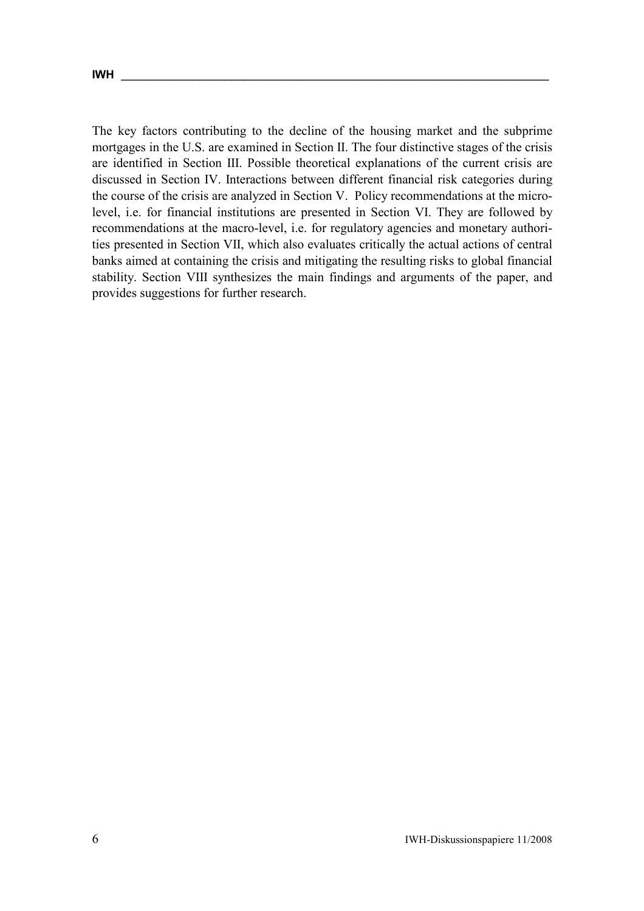The key factors contributing to the decline of the housing market and the subprime mortgages in the U.S. are examined in Section II. The four distinctive stages of the crisis are identified in Section III. Possible theoretical explanations of the current crisis are discussed in Section IV. Interactions between different financial risk categories during the course of the crisis are analyzed in Section V. Policy recommendations at the microlevel, i.e. for financial institutions are presented in Section VI. They are followed by recommendations at the macro-level, i.e. for regulatory agencies and monetary authorities presented in Section VII, which also evaluates critically the actual actions of central banks aimed at containing the crisis and mitigating the resulting risks to global financial stability. Section VIII synthesizes the main findings and arguments of the paper, and provides suggestions for further research.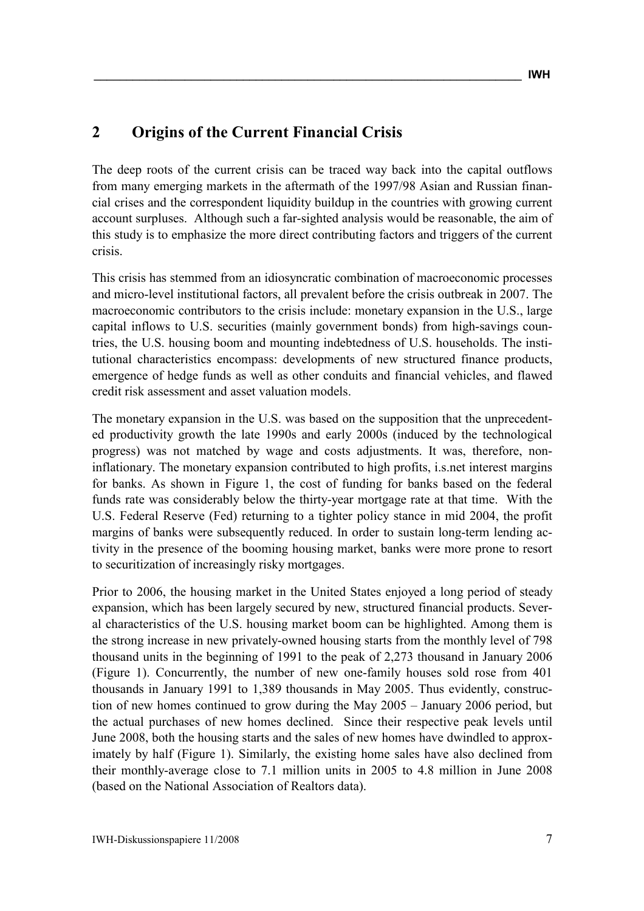#### 2 Origins of the Current Financial Crisis

The deep roots of the current crisis can be traced way back into the capital outflows from many emerging markets in the aftermath of the 1997/98 Asian and Russian financial crises and the correspondent liquidity buildup in the countries with growing current account surpluses. Although such a far-sighted analysis would be reasonable, the aim of this study is to emphasize the more direct contributing factors and triggers of the current crisis.

This crisis has stemmed from an idiosyncratic combination of macroeconomic processes and micro-level institutional factors, all prevalent before the crisis outbreak in 2007. The macroeconomic contributors to the crisis include: monetary expansion in the U.S., large capital inflows to U.S. securities (mainly government bonds) from high-savings countries, the U.S. housing boom and mounting indebtedness of U.S. households. The institutional characteristics encompass: developments of new structured finance products, emergence of hedge funds as well as other conduits and financial vehicles, and flawed credit risk assessment and asset valuation models.

The monetary expansion in the U.S. was based on the supposition that the unprecedented productivity growth the late 1990s and early 2000s (induced by the technological progress) was not matched by wage and costs adjustments. It was, therefore, noninflationary. The monetary expansion contributed to high profits, i.s.net interest margins for banks. As shown in Figure 1, the cost of funding for banks based on the federal funds rate was considerably below the thirty-year mortgage rate at that time. With the U.S. Federal Reserve (Fed) returning to a tighter policy stance in mid 2004, the profit margins of banks were subsequently reduced. In order to sustain long-term lending activity in the presence of the booming housing market, banks were more prone to resort to securitization of increasingly risky mortgages.

Prior to 2006, the housing market in the United States enjoyed a long period of steady expansion, which has been largely secured by new, structured financial products. Several characteristics of the U.S. housing market boom can be highlighted. Among them is the strong increase in new privately-owned housing starts from the monthly level of 798 thousand units in the beginning of 1991 to the peak of 2,273 thousand in January 2006 (Figure 1). Concurrently, the number of new one-family houses sold rose from 401 thousands in January 1991 to 1,389 thousands in May 2005. Thus evidently, construction of new homes continued to grow during the May 2005 – January 2006 period, but the actual purchases of new homes declined. Since their respective peak levels until June 2008, both the housing starts and the sales of new homes have dwindled to approximately by half (Figure 1). Similarly, the existing home sales have also declined from their monthly-average close to 7.1 million units in 2005 to 4.8 million in June 2008 (based on the National Association of Realtors data).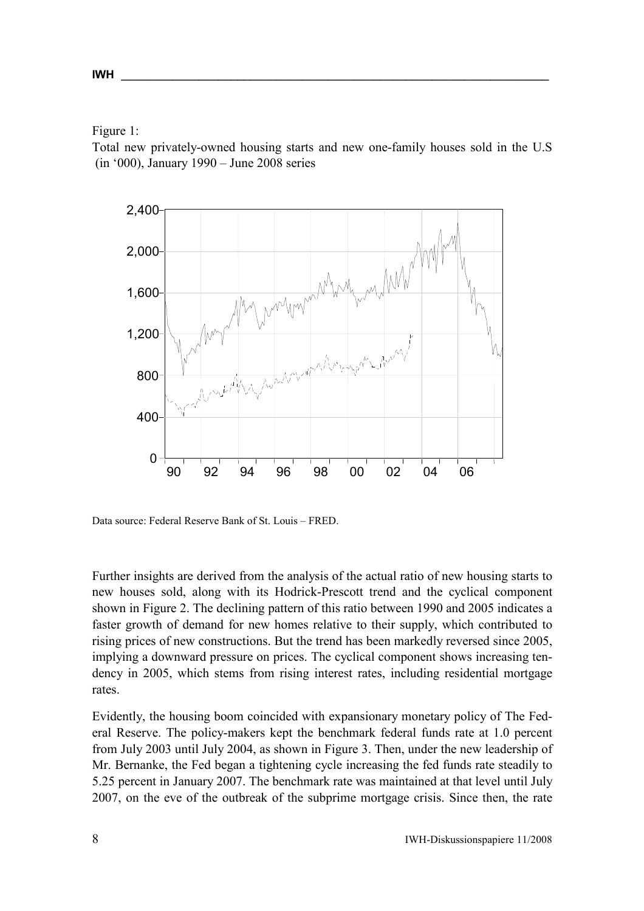#### Figure 1:

Total new privately-owned housing starts and new one-family houses sold in the U.S (in '000), January 1990 – June 2008 series



Data source: Federal Reserve Bank of St. Louis – FRED.

Further insights are derived from the analysis of the actual ratio of new housing starts to new houses sold, along with its Hodrick-Prescott trend and the cyclical component shown in Figure 2. The declining pattern of this ratio between 1990 and 2005 indicates a faster growth of demand for new homes relative to their supply, which contributed to rising prices of new constructions. But the trend has been markedly reversed since 2005, implying a downward pressure on prices. The cyclical component shows increasing tendency in 2005, which stems from rising interest rates, including residential mortgage rates.

Evidently, the housing boom coincided with expansionary monetary policy of The Federal Reserve. The policy-makers kept the benchmark federal funds rate at 1.0 percent from July 2003 until July 2004, as shown in Figure 3. Then, under the new leadership of Mr. Bernanke, the Fed began a tightening cycle increasing the fed funds rate steadily to 5.25 percent in January 2007. The benchmark rate was maintained at that level until July 2007, on the eve of the outbreak of the subprime mortgage crisis. Since then, the rate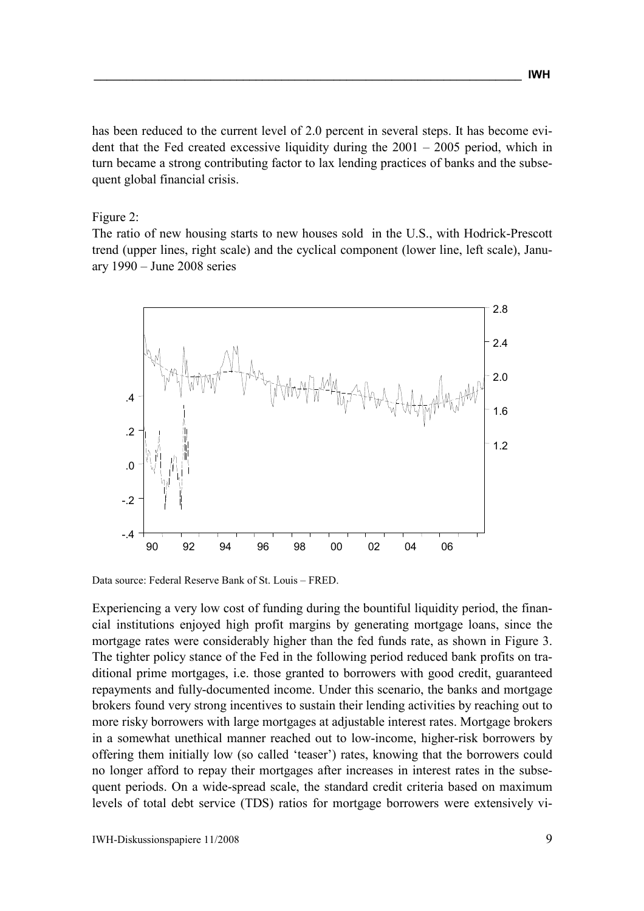has been reduced to the current level of 2.0 percent in several steps. It has become evident that the Fed created excessive liquidity during the 2001 – 2005 period, which in turn became a strong contributing factor to lax lending practices of banks and the subsequent global financial crisis.

Figure 2:

The ratio of new housing starts to new houses sold in the U.S., with Hodrick-Prescott trend (upper lines, right scale) and the cyclical component (lower line, left scale), January 1990 – June 2008 series



Data source: Federal Reserve Bank of St. Louis – FRED.

Experiencing a very low cost of funding during the bountiful liquidity period, the financial institutions enjoyed high profit margins by generating mortgage loans, since the mortgage rates were considerably higher than the fed funds rate, as shown in Figure 3. The tighter policy stance of the Fed in the following period reduced bank profits on traditional prime mortgages, i.e. those granted to borrowers with good credit, guaranteed repayments and fully-documented income. Under this scenario, the banks and mortgage brokers found very strong incentives to sustain their lending activities by reaching out to more risky borrowers with large mortgages at adjustable interest rates. Mortgage brokers in a somewhat unethical manner reached out to low-income, higher-risk borrowers by offering them initially low (so called 'teaser') rates, knowing that the borrowers could no longer afford to repay their mortgages after increases in interest rates in the subsequent periods. On a wide-spread scale, the standard credit criteria based on maximum levels of total debt service (TDS) ratios for mortgage borrowers were extensively vi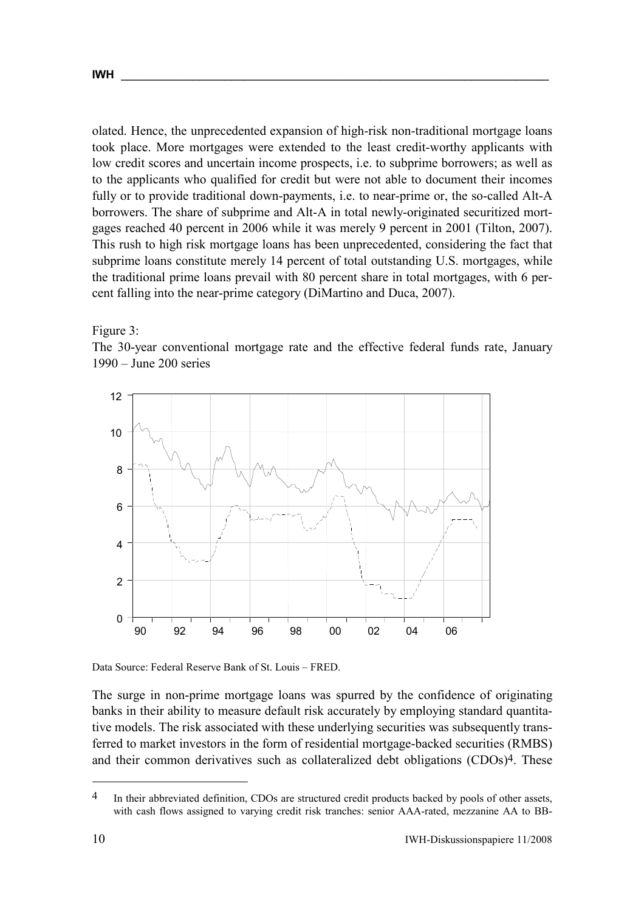olated. Hence, the unprecedented expansion of high-risk non-traditional mortgage loans took place. More mortgages were extended to the least credit-worthy applicants with low credit scores and uncertain income prospects, i.e. to subprime borrowers; as well as to the applicants who qualified for credit but were not able to document their incomes fully or to provide traditional down-payments, i.e. to near-prime or, the so-called Alt-A borrowers. The share of subprime and Alt-A in total newly-originated securitized mortgages reached 40 percent in 2006 while it was merely 9 percent in 2001 (Tilton, 2007). This rush to high risk mortgage loans has been unprecedented, considering the fact that subprime loans constitute merely 14 percent of total outstanding U.S. mortgages, while the traditional prime loans prevail with 80 percent share in total mortgages, with 6 percent falling into the near-prime category (DiMartino and Duca, 2007).

Figure 3:

The 30-year conventional mortgage rate and the effective federal funds rate, January 1990 – June 200 series



Data Source: Federal Reserve Bank of St. Louis – FRED.

The surge in non-prime mortgage loans was spurred by the confidence of originating banks in their ability to measure default risk accurately by employing standard quantitative models. The risk associated with these underlying securities was subsequently transferred to market investors in the form of residential mortgage-backed securities (RMBS) and their common derivatives such as collateralized debt obligations (CDOs)4. These

<sup>4</sup> In their abbreviated definition, CDOs are structured credit products backed by pools of other assets, with cash flows assigned to varying credit risk tranches: senior AAA-rated, mezzanine AA to BB-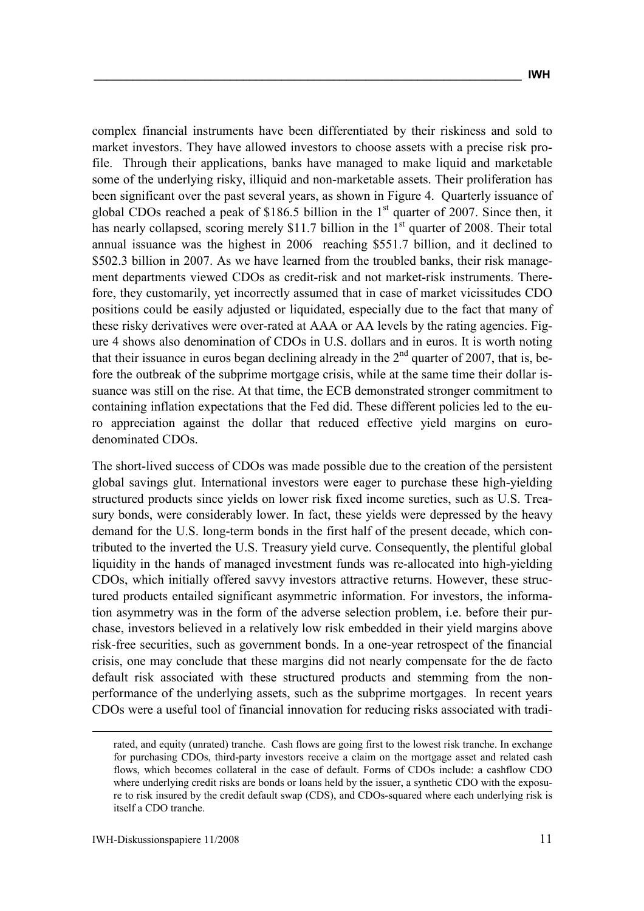complex financial instruments have been differentiated by their riskiness and sold to market investors. They have allowed investors to choose assets with a precise risk profile. Through their applications, banks have managed to make liquid and marketable some of the underlying risky, illiquid and non-marketable assets. Their proliferation has been significant over the past several years, as shown in Figure 4. Quarterly issuance of global CDOs reached a peak of \$186.5 billion in the  $1<sup>st</sup>$  quarter of 2007. Since then, it has nearly collapsed, scoring merely \$11.7 billion in the 1<sup>st</sup> quarter of 2008. Their total annual issuance was the highest in 2006 reaching \$551.7 billion, and it declined to \$502.3 billion in 2007. As we have learned from the troubled banks, their risk management departments viewed CDOs as credit-risk and not market-risk instruments. Therefore, they customarily, yet incorrectly assumed that in case of market vicissitudes CDO positions could be easily adjusted or liquidated, especially due to the fact that many of these risky derivatives were over-rated at AAA or AA levels by the rating agencies. Figure 4 shows also denomination of CDOs in U.S. dollars and in euros. It is worth noting that their issuance in euros began declining already in the  $2<sup>nd</sup>$  quarter of 2007, that is, before the outbreak of the subprime mortgage crisis, while at the same time their dollar issuance was still on the rise. At that time, the ECB demonstrated stronger commitment to containing inflation expectations that the Fed did. These different policies led to the euro appreciation against the dollar that reduced effective yield margins on eurodenominated CDOs.

The short-lived success of CDOs was made possible due to the creation of the persistent global savings glut. International investors were eager to purchase these high-yielding structured products since yields on lower risk fixed income sureties, such as U.S. Treasury bonds, were considerably lower. In fact, these yields were depressed by the heavy demand for the U.S. long-term bonds in the first half of the present decade, which contributed to the inverted the U.S. Treasury yield curve. Consequently, the plentiful global liquidity in the hands of managed investment funds was re-allocated into high-yielding CDOs, which initially offered savvy investors attractive returns. However, these structured products entailed significant asymmetric information. For investors, the information asymmetry was in the form of the adverse selection problem, i.e. before their purchase, investors believed in a relatively low risk embedded in their yield margins above risk-free securities, such as government bonds. In a one-year retrospect of the financial crisis, one may conclude that these margins did not nearly compensate for the de facto default risk associated with these structured products and stemming from the nonperformance of the underlying assets, such as the subprime mortgages. In recent years CDOs were a useful tool of financial innovation for reducing risks associated with tradi-

<u>.</u>

rated, and equity (unrated) tranche. Cash flows are going first to the lowest risk tranche. In exchange for purchasing CDOs, third-party investors receive a claim on the mortgage asset and related cash flows, which becomes collateral in the case of default. Forms of CDOs include: a cashflow CDO where underlying credit risks are bonds or loans held by the issuer, a synthetic CDO with the exposure to risk insured by the credit default swap (CDS), and CDOs-squared where each underlying risk is itself a CDO tranche.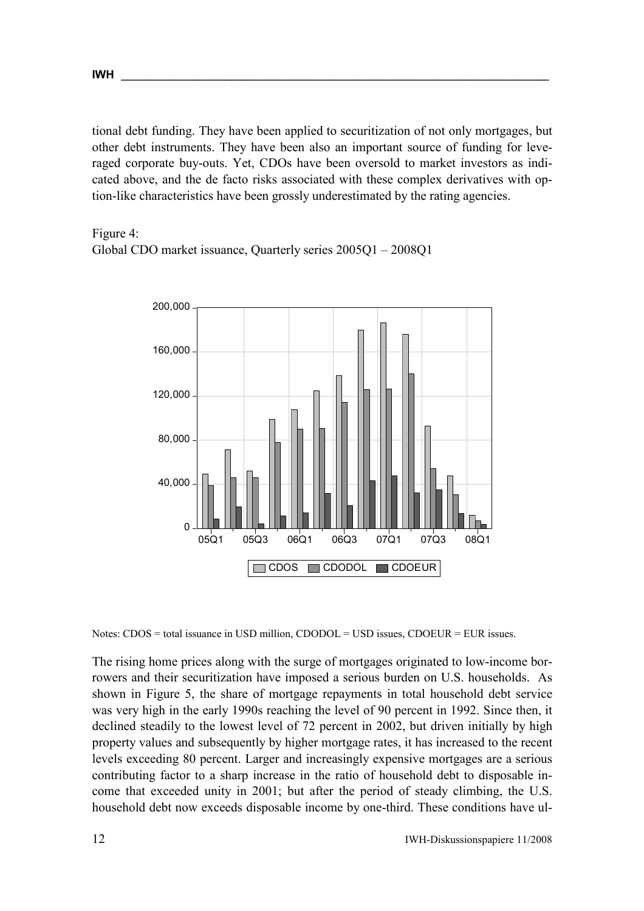IWH \_\_\_\_\_\_\_\_\_\_\_\_\_\_\_\_\_\_\_\_\_\_\_\_\_\_\_\_\_\_\_\_\_\_\_\_\_\_\_\_\_\_\_\_\_\_\_\_\_\_\_\_\_\_\_\_\_\_\_\_\_\_\_\_\_\_

tional debt funding. They have been applied to securitization of not only mortgages, but other debt instruments. They have been also an important source of funding for leveraged corporate buy-outs. Yet, CDOs have been oversold to market investors as indicated above, and the de facto risks associated with these complex derivatives with option-like characteristics have been grossly underestimated by the rating agencies.

Figure 4:



Global CDO market issuance, Quarterly series 2005Q1 – 2008Q1

Notes: CDOS = total issuance in USD million, CDODOL = USD issues, CDOEUR = EUR issues.

The rising home prices along with the surge of mortgages originated to low-income borrowers and their securitization have imposed a serious burden on U.S. households. As shown in Figure 5, the share of mortgage repayments in total household debt service was very high in the early 1990s reaching the level of 90 percent in 1992. Since then, it declined steadily to the lowest level of 72 percent in 2002, but driven initially by high property values and subsequently by higher mortgage rates, it has increased to the recent levels exceeding 80 percent. Larger and increasingly expensive mortgages are a serious contributing factor to a sharp increase in the ratio of household debt to disposable income that exceeded unity in 2001; but after the period of steady climbing, the U.S. household debt now exceeds disposable income by one-third. These conditions have ul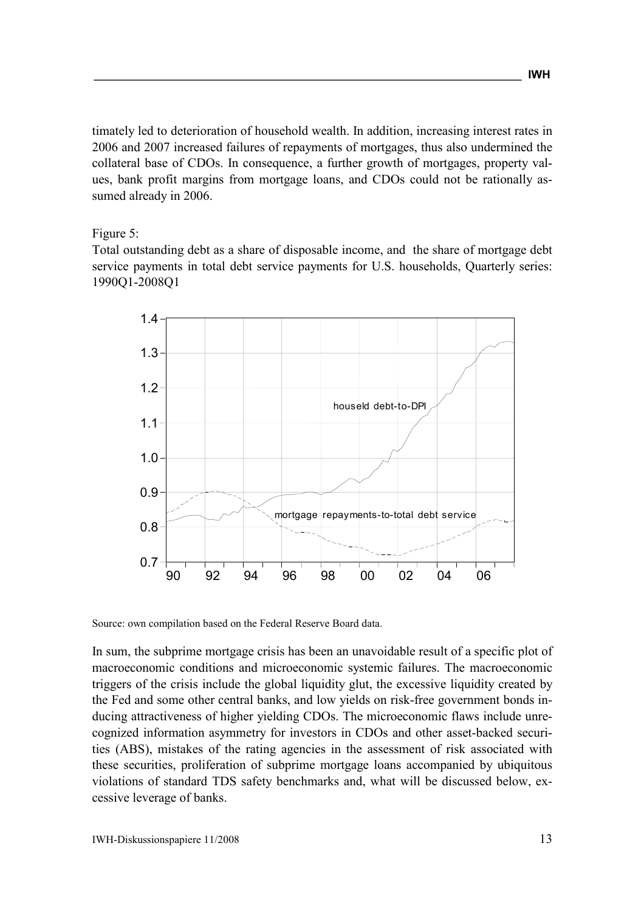timately led to deterioration of household wealth. In addition, increasing interest rates in 2006 and 2007 increased failures of repayments of mortgages, thus also undermined the collateral base of CDOs. In consequence, a further growth of mortgages, property values, bank profit margins from mortgage loans, and CDOs could not be rationally assumed already in 2006.

Figure 5:

Total outstanding debt as a share of disposable income, and the share of mortgage debt service payments in total debt service payments for U.S. households, Quarterly series: 1990Q1-2008Q1



Source: own compilation based on the Federal Reserve Board data.

In sum, the subprime mortgage crisis has been an unavoidable result of a specific plot of macroeconomic conditions and microeconomic systemic failures. The macroeconomic triggers of the crisis include the global liquidity glut, the excessive liquidity created by the Fed and some other central banks, and low yields on risk-free government bonds inducing attractiveness of higher yielding CDOs. The microeconomic flaws include unrecognized information asymmetry for investors in CDOs and other asset-backed securities (ABS), mistakes of the rating agencies in the assessment of risk associated with these securities, proliferation of subprime mortgage loans accompanied by ubiquitous violations of standard TDS safety benchmarks and, what will be discussed below, excessive leverage of banks.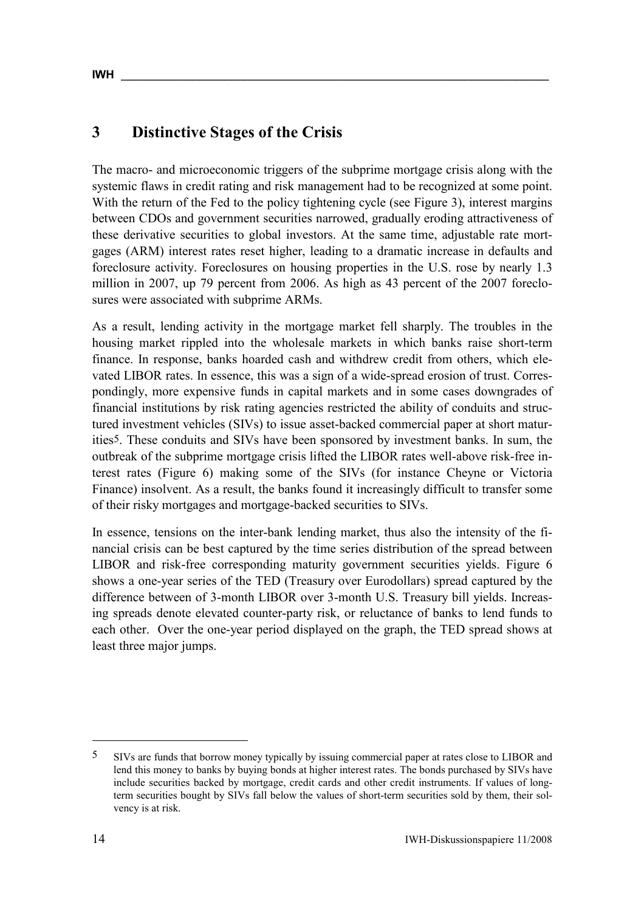IWH \_\_\_\_\_\_\_\_\_\_\_\_\_\_\_\_\_\_\_\_\_\_\_\_\_\_\_\_\_\_\_\_\_\_\_\_\_\_\_\_\_\_\_\_\_\_\_\_\_\_\_\_\_\_\_\_\_\_\_\_\_\_\_\_\_\_

## 3 Distinctive Stages of the Crisis

The macro- and microeconomic triggers of the subprime mortgage crisis along with the systemic flaws in credit rating and risk management had to be recognized at some point. With the return of the Fed to the policy tightening cycle (see Figure 3), interest margins between CDOs and government securities narrowed, gradually eroding attractiveness of these derivative securities to global investors. At the same time, adjustable rate mortgages (ARM) interest rates reset higher, leading to a dramatic increase in defaults and foreclosure activity. Foreclosures on housing properties in the U.S. rose by nearly 1.3 million in 2007, up 79 percent from 2006. As high as 43 percent of the 2007 foreclosures were associated with subprime ARMs.

As a result, lending activity in the mortgage market fell sharply. The troubles in the housing market rippled into the wholesale markets in which banks raise short-term finance. In response, banks hoarded cash and withdrew credit from others, which elevated LIBOR rates. In essence, this was a sign of a wide-spread erosion of trust. Correspondingly, more expensive funds in capital markets and in some cases downgrades of financial institutions by risk rating agencies restricted the ability of conduits and structured investment vehicles (SIVs) to issue asset-backed commercial paper at short maturities5. These conduits and SIVs have been sponsored by investment banks. In sum, the outbreak of the subprime mortgage crisis lifted the LIBOR rates well-above risk-free interest rates (Figure 6) making some of the SIVs (for instance Cheyne or Victoria Finance) insolvent. As a result, the banks found it increasingly difficult to transfer some of their risky mortgages and mortgage-backed securities to SIVs.

In essence, tensions on the inter-bank lending market, thus also the intensity of the financial crisis can be best captured by the time series distribution of the spread between LIBOR and risk-free corresponding maturity government securities yields. Figure 6 shows a one-year series of the TED (Treasury over Eurodollars) spread captured by the difference between of 3-month LIBOR over 3-month U.S. Treasury bill yields. Increasing spreads denote elevated counter-party risk, or reluctance of banks to lend funds to each other. Over the one-year period displayed on the graph, the TED spread shows at least three major jumps.

<sup>5</sup> SIVs are funds that borrow money typically by issuing commercial paper at rates close to LIBOR and lend this money to banks by buying bonds at higher interest rates. The bonds purchased by SIVs have include securities backed by mortgage, credit cards and other credit instruments. If values of longterm securities bought by SIVs fall below the values of short-term securities sold by them, their solvency is at risk.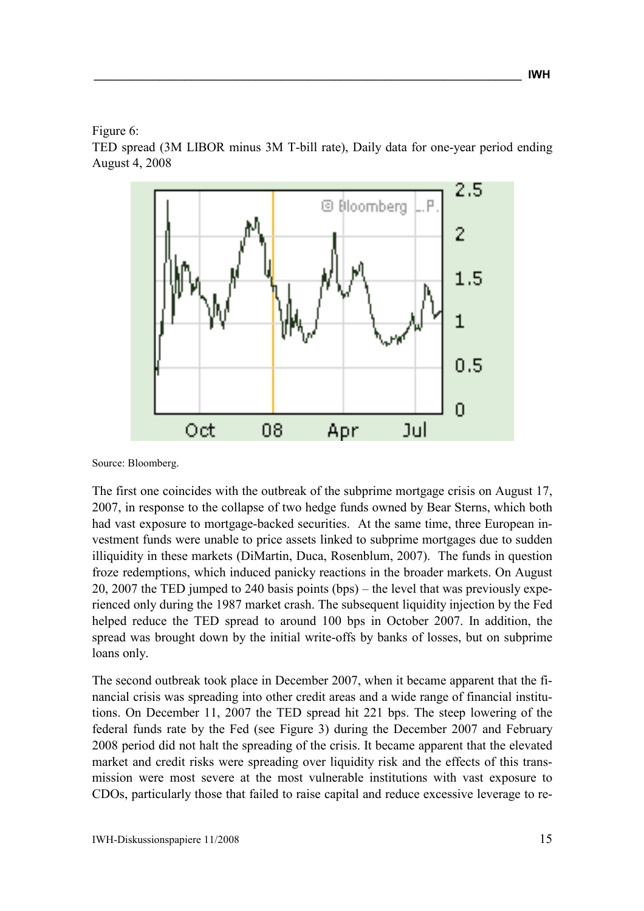#### Figure 6:

TED spread (3M LIBOR minus 3M T-bill rate), Daily data for one-year period ending August 4, 2008



Source: Bloomberg.

The first one coincides with the outbreak of the subprime mortgage crisis on August 17, 2007, in response to the collapse of two hedge funds owned by Bear Sterns, which both had vast exposure to mortgage-backed securities. At the same time, three European investment funds were unable to price assets linked to subprime mortgages due to sudden illiquidity in these markets (DiMartin, Duca, Rosenblum, 2007). The funds in question froze redemptions, which induced panicky reactions in the broader markets. On August 20, 2007 the TED jumped to 240 basis points (bps) – the level that was previously experienced only during the 1987 market crash. The subsequent liquidity injection by the Fed helped reduce the TED spread to around 100 bps in October 2007. In addition, the spread was brought down by the initial write-offs by banks of losses, but on subprime loans only.

The second outbreak took place in December 2007, when it became apparent that the financial crisis was spreading into other credit areas and a wide range of financial institutions. On December 11, 2007 the TED spread hit 221 bps. The steep lowering of the federal funds rate by the Fed (see Figure 3) during the December 2007 and February 2008 period did not halt the spreading of the crisis. It became apparent that the elevated market and credit risks were spreading over liquidity risk and the effects of this transmission were most severe at the most vulnerable institutions with vast exposure to CDOs, particularly those that failed to raise capital and reduce excessive leverage to re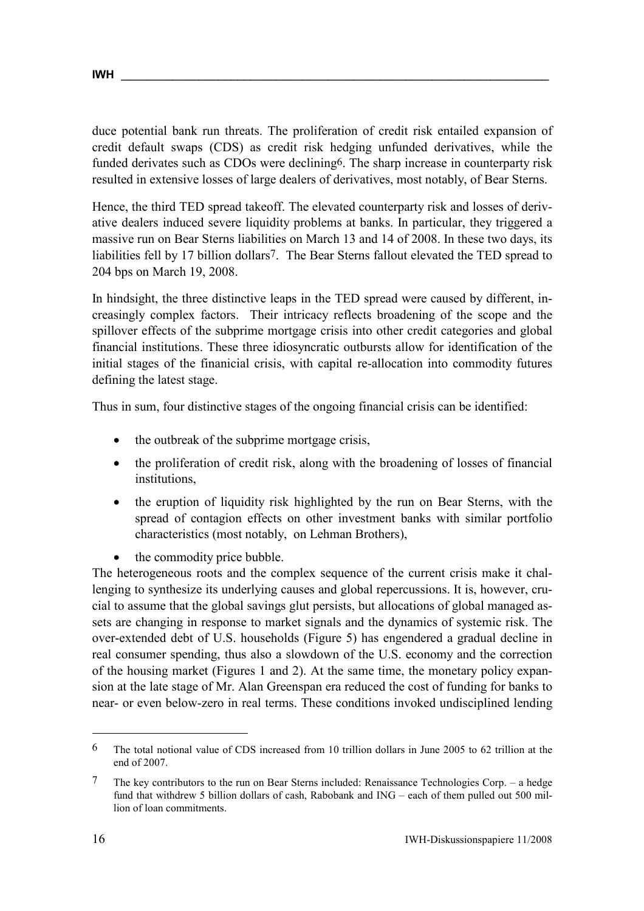duce potential bank run threats. The proliferation of credit risk entailed expansion of credit default swaps (CDS) as credit risk hedging unfunded derivatives, while the funded derivates such as CDOs were declining6. The sharp increase in counterparty risk resulted in extensive losses of large dealers of derivatives, most notably, of Bear Sterns.

Hence, the third TED spread takeoff. The elevated counterparty risk and losses of derivative dealers induced severe liquidity problems at banks. In particular, they triggered a massive run on Bear Sterns liabilities on March 13 and 14 of 2008. In these two days, its liabilities fell by 17 billion dollars<sup>7</sup>. The Bear Sterns fallout elevated the TED spread to 204 bps on March 19, 2008.

In hindsight, the three distinctive leaps in the TED spread were caused by different, increasingly complex factors. Their intricacy reflects broadening of the scope and the spillover effects of the subprime mortgage crisis into other credit categories and global financial institutions. These three idiosyncratic outbursts allow for identification of the initial stages of the finanicial crisis, with capital re-allocation into commodity futures defining the latest stage.

Thus in sum, four distinctive stages of the ongoing financial crisis can be identified:

- the outbreak of the subprime mortgage crisis,
- the proliferation of credit risk, along with the broadening of losses of financial institutions,
- the eruption of liquidity risk highlighted by the run on Bear Sterns, with the spread of contagion effects on other investment banks with similar portfolio characteristics (most notably, on Lehman Brothers),
- the commodity price bubble.

The heterogeneous roots and the complex sequence of the current crisis make it challenging to synthesize its underlying causes and global repercussions. It is, however, crucial to assume that the global savings glut persists, but allocations of global managed assets are changing in response to market signals and the dynamics of systemic risk. The over-extended debt of U.S. households (Figure 5) has engendered a gradual decline in real consumer spending, thus also a slowdown of the U.S. economy and the correction of the housing market (Figures 1 and 2). At the same time, the monetary policy expansion at the late stage of Mr. Alan Greenspan era reduced the cost of funding for banks to near- or even below-zero in real terms. These conditions invoked undisciplined lending

<sup>6</sup> The total notional value of CDS increased from 10 trillion dollars in June 2005 to 62 trillion at the end of 2007.

<sup>7</sup> The key contributors to the run on Bear Sterns included: Renaissance Technologies Corp. – a hedge fund that withdrew 5 billion dollars of cash, Rabobank and ING – each of them pulled out 500 million of loan commitments.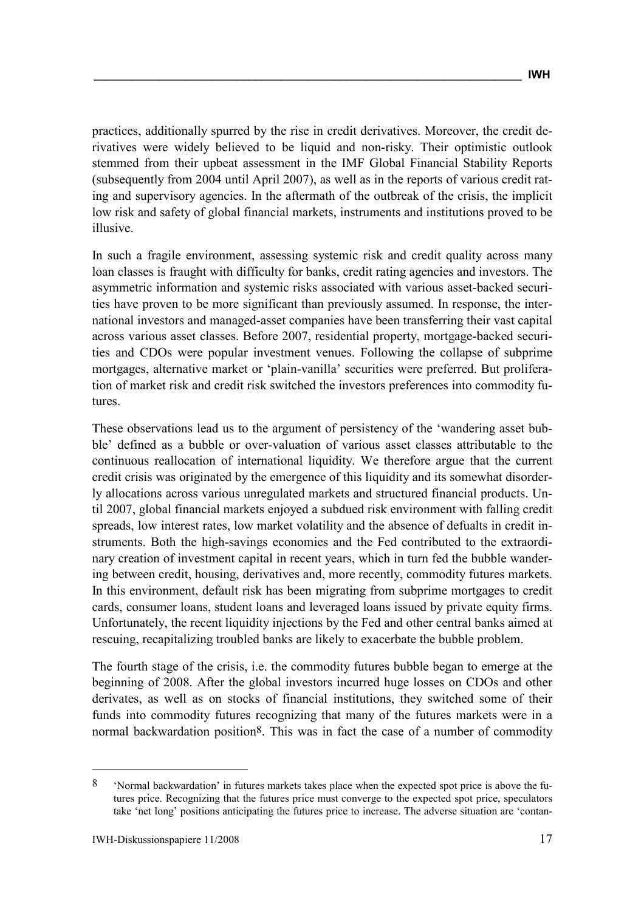practices, additionally spurred by the rise in credit derivatives. Moreover, the credit derivatives were widely believed to be liquid and non-risky. Their optimistic outlook stemmed from their upbeat assessment in the IMF Global Financial Stability Reports (subsequently from 2004 until April 2007), as well as in the reports of various credit rating and supervisory agencies. In the aftermath of the outbreak of the crisis, the implicit low risk and safety of global financial markets, instruments and institutions proved to be illusive.

In such a fragile environment, assessing systemic risk and credit quality across many loan classes is fraught with difficulty for banks, credit rating agencies and investors. The asymmetric information and systemic risks associated with various asset-backed securities have proven to be more significant than previously assumed. In response, the international investors and managed-asset companies have been transferring their vast capital across various asset classes. Before 2007, residential property, mortgage-backed securities and CDOs were popular investment venues. Following the collapse of subprime mortgages, alternative market or 'plain-vanilla' securities were preferred. But proliferation of market risk and credit risk switched the investors preferences into commodity futures.

These observations lead us to the argument of persistency of the 'wandering asset bubble' defined as a bubble or over-valuation of various asset classes attributable to the continuous reallocation of international liquidity. We therefore argue that the current credit crisis was originated by the emergence of this liquidity and its somewhat disorderly allocations across various unregulated markets and structured financial products. Until 2007, global financial markets enjoyed a subdued risk environment with falling credit spreads, low interest rates, low market volatility and the absence of defualts in credit instruments. Both the high-savings economies and the Fed contributed to the extraordinary creation of investment capital in recent years, which in turn fed the bubble wandering between credit, housing, derivatives and, more recently, commodity futures markets. In this environment, default risk has been migrating from subprime mortgages to credit cards, consumer loans, student loans and leveraged loans issued by private equity firms. Unfortunately, the recent liquidity injections by the Fed and other central banks aimed at rescuing, recapitalizing troubled banks are likely to exacerbate the bubble problem.

The fourth stage of the crisis, i.e. the commodity futures bubble began to emerge at the beginning of 2008. After the global investors incurred huge losses on CDOs and other derivates, as well as on stocks of financial institutions, they switched some of their funds into commodity futures recognizing that many of the futures markets were in a normal backwardation position<sup>8</sup>. This was in fact the case of a number of commodity

<sup>8 &#</sup>x27;Normal backwardation' in futures markets takes place when the expected spot price is above the futures price. Recognizing that the futures price must converge to the expected spot price, speculators take 'net long' positions anticipating the futures price to increase. The adverse situation are 'contan-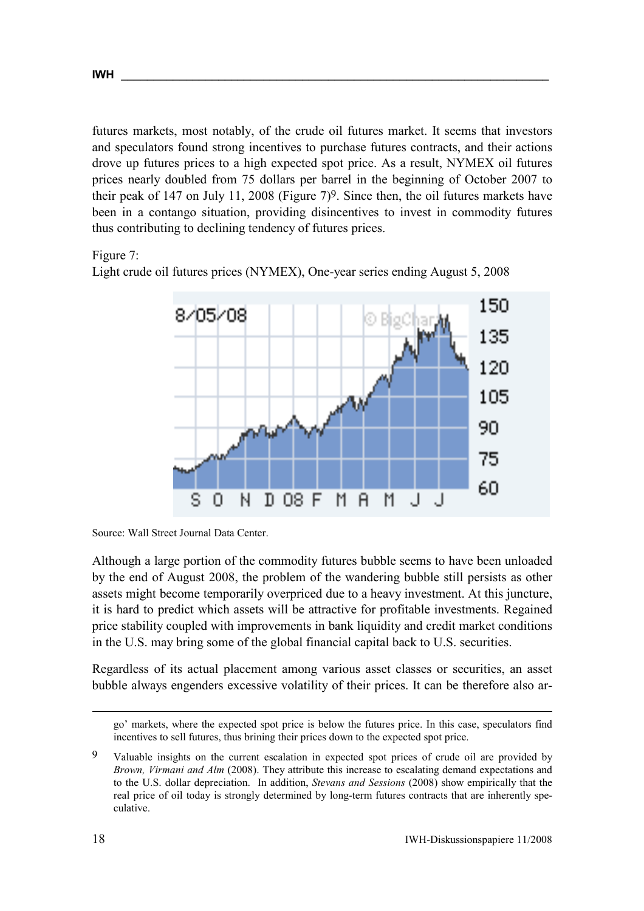futures markets, most notably, of the crude oil futures market. It seems that investors and speculators found strong incentives to purchase futures contracts, and their actions drove up futures prices to a high expected spot price. As a result, NYMEX oil futures prices nearly doubled from 75 dollars per barrel in the beginning of October 2007 to their peak of 147 on July 11, 2008 (Figure 7)9. Since then, the oil futures markets have been in a contango situation, providing disincentives to invest in commodity futures thus contributing to declining tendency of futures prices.

#### Figure 7:

Light crude oil futures prices (NYMEX), One-year series ending August 5, 2008



Source: Wall Street Journal Data Center.

Although a large portion of the commodity futures bubble seems to have been unloaded by the end of August 2008, the problem of the wandering bubble still persists as other assets might become temporarily overpriced due to a heavy investment. At this juncture, it is hard to predict which assets will be attractive for profitable investments. Regained price stability coupled with improvements in bank liquidity and credit market conditions in the U.S. may bring some of the global financial capital back to U.S. securities.

Regardless of its actual placement among various asset classes or securities, an asset bubble always engenders excessive volatility of their prices. It can be therefore also ar-

<u>.</u>

go' markets, where the expected spot price is below the futures price. In this case, speculators find incentives to sell futures, thus brining their prices down to the expected spot price.

<sup>9</sup> Valuable insights on the current escalation in expected spot prices of crude oil are provided by Brown, Virmani and Alm (2008). They attribute this increase to escalating demand expectations and to the U.S. dollar depreciation. In addition, Stevans and Sessions (2008) show empirically that the real price of oil today is strongly determined by long-term futures contracts that are inherently speculative.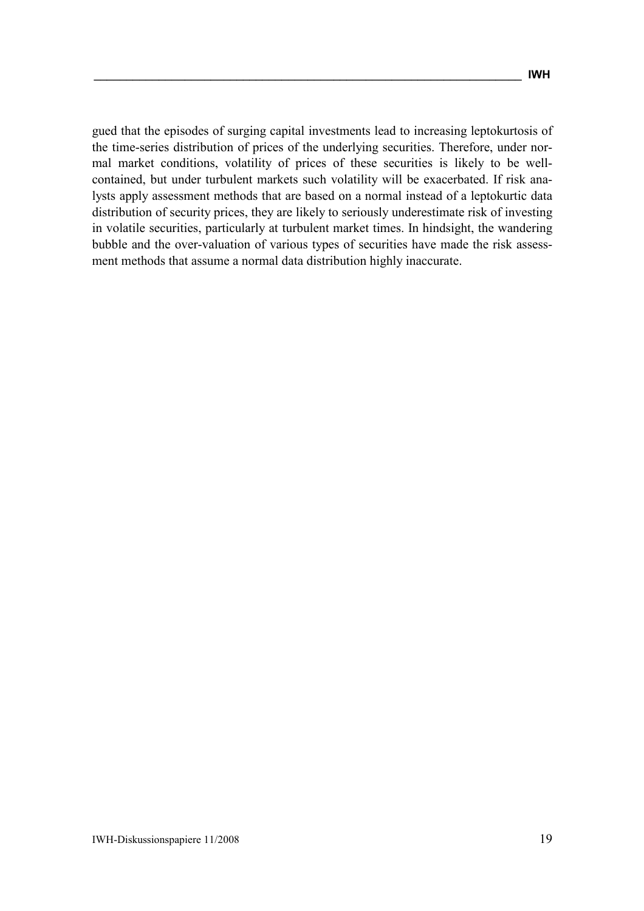gued that the episodes of surging capital investments lead to increasing leptokurtosis of the time-series distribution of prices of the underlying securities. Therefore, under normal market conditions, volatility of prices of these securities is likely to be wellcontained, but under turbulent markets such volatility will be exacerbated. If risk analysts apply assessment methods that are based on a normal instead of a leptokurtic data distribution of security prices, they are likely to seriously underestimate risk of investing in volatile securities, particularly at turbulent market times. In hindsight, the wandering bubble and the over-valuation of various types of securities have made the risk assessment methods that assume a normal data distribution highly inaccurate.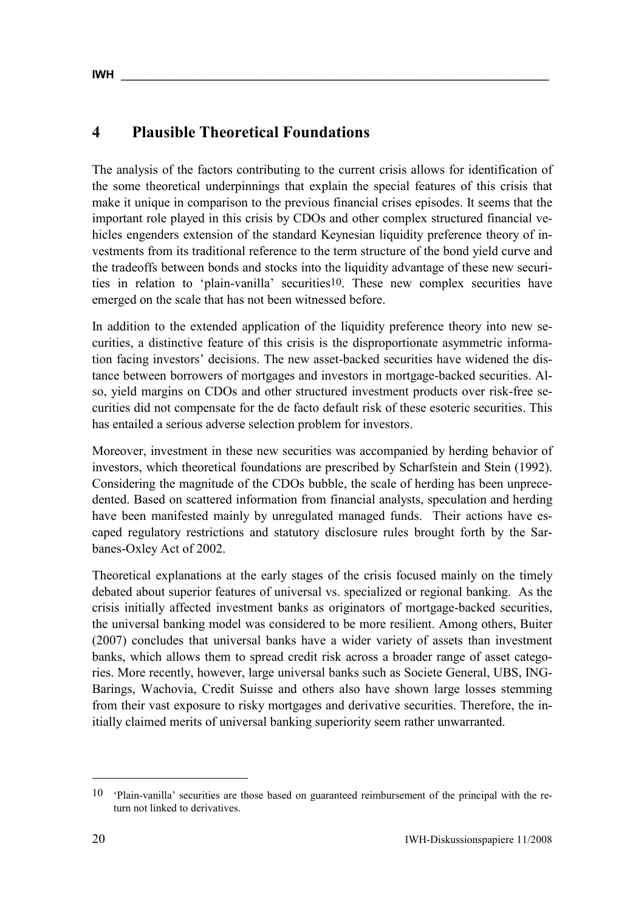#### IWH \_\_\_\_\_\_\_\_\_\_\_\_\_\_\_\_\_\_\_\_\_\_\_\_\_\_\_\_\_\_\_\_\_\_\_\_\_\_\_\_\_\_\_\_\_\_\_\_\_\_\_\_\_\_\_\_\_\_\_\_\_\_\_\_\_\_

### 4 Plausible Theoretical Foundations

The analysis of the factors contributing to the current crisis allows for identification of the some theoretical underpinnings that explain the special features of this crisis that make it unique in comparison to the previous financial crises episodes. It seems that the important role played in this crisis by CDOs and other complex structured financial vehicles engenders extension of the standard Keynesian liquidity preference theory of investments from its traditional reference to the term structure of the bond yield curve and the tradeoffs between bonds and stocks into the liquidity advantage of these new securities in relation to 'plain-vanilla' securities10. These new complex securities have emerged on the scale that has not been witnessed before.

In addition to the extended application of the liquidity preference theory into new securities, a distinctive feature of this crisis is the disproportionate asymmetric information facing investors' decisions. The new asset-backed securities have widened the distance between borrowers of mortgages and investors in mortgage-backed securities. Also, yield margins on CDOs and other structured investment products over risk-free securities did not compensate for the de facto default risk of these esoteric securities. This has entailed a serious adverse selection problem for investors.

Moreover, investment in these new securities was accompanied by herding behavior of investors, which theoretical foundations are prescribed by Scharfstein and Stein (1992). Considering the magnitude of the CDOs bubble, the scale of herding has been unprecedented. Based on scattered information from financial analysts, speculation and herding have been manifested mainly by unregulated managed funds. Their actions have escaped regulatory restrictions and statutory disclosure rules brought forth by the Sarbanes-Oxley Act of 2002.

Theoretical explanations at the early stages of the crisis focused mainly on the timely debated about superior features of universal vs. specialized or regional banking. As the crisis initially affected investment banks as originators of mortgage-backed securities, the universal banking model was considered to be more resilient. Among others, Buiter (2007) concludes that universal banks have a wider variety of assets than investment banks, which allows them to spread credit risk across a broader range of asset categories. More recently, however, large universal banks such as Societe General, UBS, ING-Barings, Wachovia, Credit Suisse and others also have shown large losses stemming from their vast exposure to risky mortgages and derivative securities. Therefore, the initially claimed merits of universal banking superiority seem rather unwarranted.

<sup>10 &#</sup>x27;Plain-vanilla' securities are those based on guaranteed reimbursement of the principal with the return not linked to derivatives.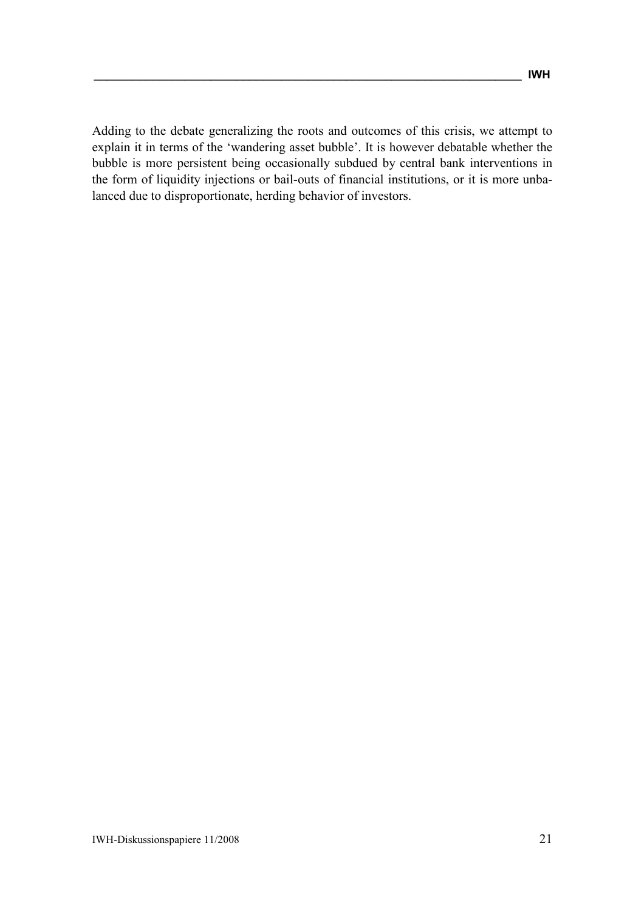Adding to the debate generalizing the roots and outcomes of this crisis, we attempt to explain it in terms of the 'wandering asset bubble'. It is however debatable whether the bubble is more persistent being occasionally subdued by central bank interventions in the form of liquidity injections or bail-outs of financial institutions, or it is more unbalanced due to disproportionate, herding behavior of investors.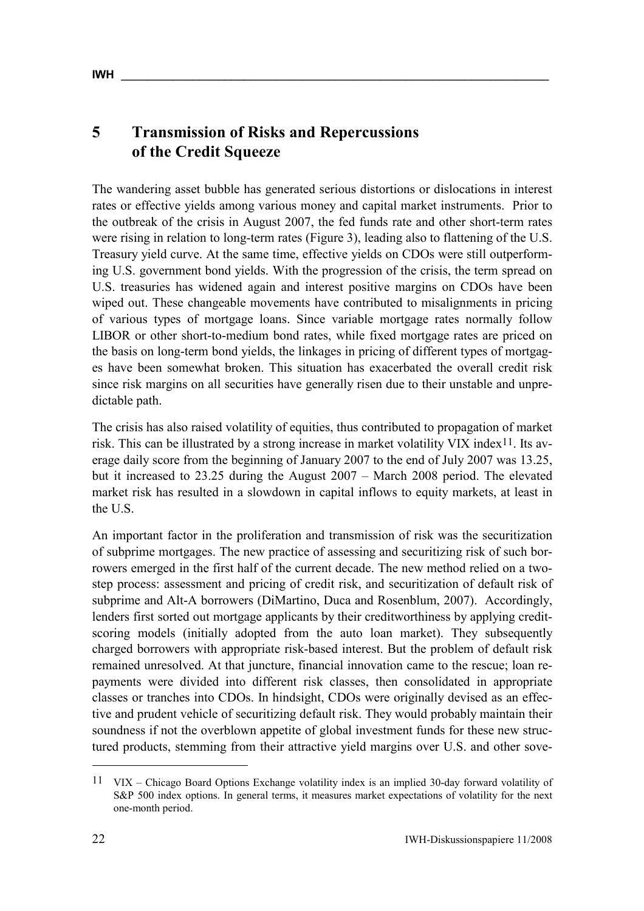IWH \_\_\_\_\_\_\_\_\_\_\_\_\_\_\_\_\_\_\_\_\_\_\_\_\_\_\_\_\_\_\_\_\_\_\_\_\_\_\_\_\_\_\_\_\_\_\_\_\_\_\_\_\_\_\_\_\_\_\_\_\_\_\_\_\_\_

## 5 Transmission of Risks and Repercussions of the Credit Squeeze

The wandering asset bubble has generated serious distortions or dislocations in interest rates or effective yields among various money and capital market instruments. Prior to the outbreak of the crisis in August 2007, the fed funds rate and other short-term rates were rising in relation to long-term rates (Figure 3), leading also to flattening of the U.S. Treasury yield curve. At the same time, effective yields on CDOs were still outperforming U.S. government bond yields. With the progression of the crisis, the term spread on U.S. treasuries has widened again and interest positive margins on CDOs have been wiped out. These changeable movements have contributed to misalignments in pricing of various types of mortgage loans. Since variable mortgage rates normally follow LIBOR or other short-to-medium bond rates, while fixed mortgage rates are priced on the basis on long-term bond yields, the linkages in pricing of different types of mortgages have been somewhat broken. This situation has exacerbated the overall credit risk since risk margins on all securities have generally risen due to their unstable and unpredictable path.

The crisis has also raised volatility of equities, thus contributed to propagation of market risk. This can be illustrated by a strong increase in market volatility VIX index11. Its average daily score from the beginning of January 2007 to the end of July 2007 was 13.25, but it increased to 23.25 during the August 2007 – March 2008 period. The elevated market risk has resulted in a slowdown in capital inflows to equity markets, at least in the U.S.

An important factor in the proliferation and transmission of risk was the securitization of subprime mortgages. The new practice of assessing and securitizing risk of such borrowers emerged in the first half of the current decade. The new method relied on a twostep process: assessment and pricing of credit risk, and securitization of default risk of subprime and Alt-A borrowers (DiMartino, Duca and Rosenblum, 2007). Accordingly, lenders first sorted out mortgage applicants by their creditworthiness by applying creditscoring models (initially adopted from the auto loan market). They subsequently charged borrowers with appropriate risk-based interest. But the problem of default risk remained unresolved. At that juncture, financial innovation came to the rescue; loan repayments were divided into different risk classes, then consolidated in appropriate classes or tranches into CDOs. In hindsight, CDOs were originally devised as an effective and prudent vehicle of securitizing default risk. They would probably maintain their soundness if not the overblown appetite of global investment funds for these new structured products, stemming from their attractive yield margins over U.S. and other sove-

<sup>11</sup> VIX – Chicago Board Options Exchange volatility index is an implied 30-day forward volatility of S&P 500 index options. In general terms, it measures market expectations of volatility for the next one-month period.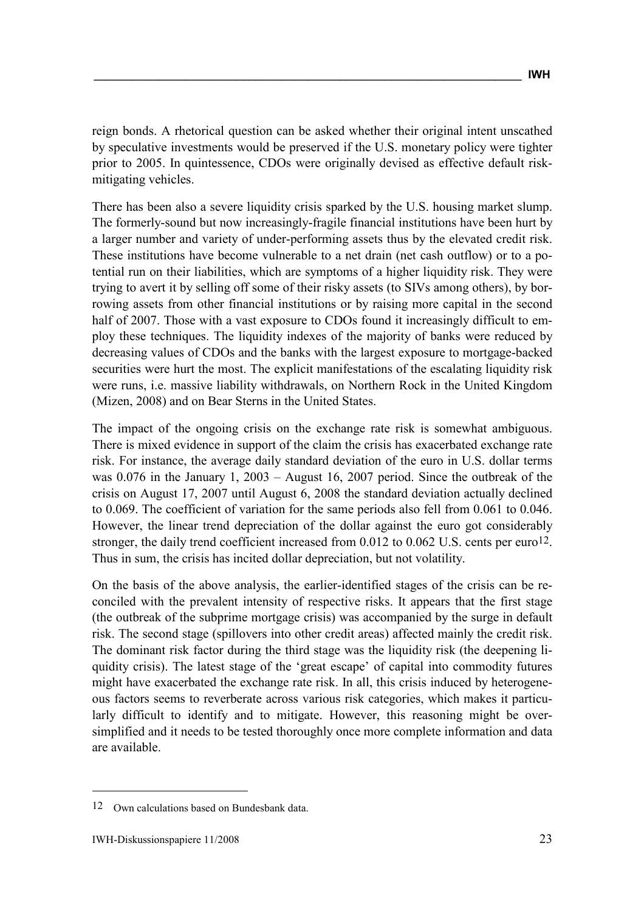reign bonds. A rhetorical question can be asked whether their original intent unscathed by speculative investments would be preserved if the U.S. monetary policy were tighter prior to 2005. In quintessence, CDOs were originally devised as effective default riskmitigating vehicles.

There has been also a severe liquidity crisis sparked by the U.S. housing market slump. The formerly-sound but now increasingly-fragile financial institutions have been hurt by a larger number and variety of under-performing assets thus by the elevated credit risk. These institutions have become vulnerable to a net drain (net cash outflow) or to a potential run on their liabilities, which are symptoms of a higher liquidity risk. They were trying to avert it by selling off some of their risky assets (to SIVs among others), by borrowing assets from other financial institutions or by raising more capital in the second half of 2007. Those with a vast exposure to CDOs found it increasingly difficult to employ these techniques. The liquidity indexes of the majority of banks were reduced by decreasing values of CDOs and the banks with the largest exposure to mortgage-backed securities were hurt the most. The explicit manifestations of the escalating liquidity risk were runs, i.e. massive liability withdrawals, on Northern Rock in the United Kingdom (Mizen, 2008) and on Bear Sterns in the United States.

The impact of the ongoing crisis on the exchange rate risk is somewhat ambiguous. There is mixed evidence in support of the claim the crisis has exacerbated exchange rate risk. For instance, the average daily standard deviation of the euro in U.S. dollar terms was 0.076 in the January 1, 2003 – August 16, 2007 period. Since the outbreak of the crisis on August 17, 2007 until August 6, 2008 the standard deviation actually declined to 0.069. The coefficient of variation for the same periods also fell from 0.061 to 0.046. However, the linear trend depreciation of the dollar against the euro got considerably stronger, the daily trend coefficient increased from  $0.012$  to  $0.062$  U.S. cents per euro<sup>12</sup>. Thus in sum, the crisis has incited dollar depreciation, but not volatility.

On the basis of the above analysis, the earlier-identified stages of the crisis can be reconciled with the prevalent intensity of respective risks. It appears that the first stage (the outbreak of the subprime mortgage crisis) was accompanied by the surge in default risk. The second stage (spillovers into other credit areas) affected mainly the credit risk. The dominant risk factor during the third stage was the liquidity risk (the deepening liquidity crisis). The latest stage of the 'great escape' of capital into commodity futures might have exacerbated the exchange rate risk. In all, this crisis induced by heterogeneous factors seems to reverberate across various risk categories, which makes it particularly difficult to identify and to mitigate. However, this reasoning might be oversimplified and it needs to be tested thoroughly once more complete information and data are available.

<sup>12</sup> Own calculations based on Bundesbank data.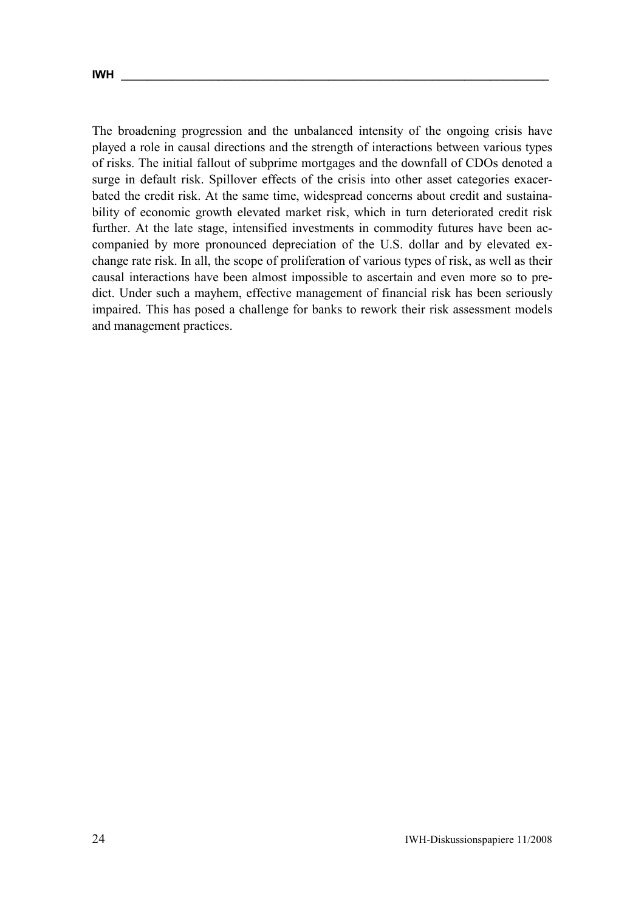The broadening progression and the unbalanced intensity of the ongoing crisis have played a role in causal directions and the strength of interactions between various types of risks. The initial fallout of subprime mortgages and the downfall of CDOs denoted a surge in default risk. Spillover effects of the crisis into other asset categories exacerbated the credit risk. At the same time, widespread concerns about credit and sustainability of economic growth elevated market risk, which in turn deteriorated credit risk further. At the late stage, intensified investments in commodity futures have been accompanied by more pronounced depreciation of the U.S. dollar and by elevated exchange rate risk. In all, the scope of proliferation of various types of risk, as well as their causal interactions have been almost impossible to ascertain and even more so to predict. Under such a mayhem, effective management of financial risk has been seriously impaired. This has posed a challenge for banks to rework their risk assessment models and management practices.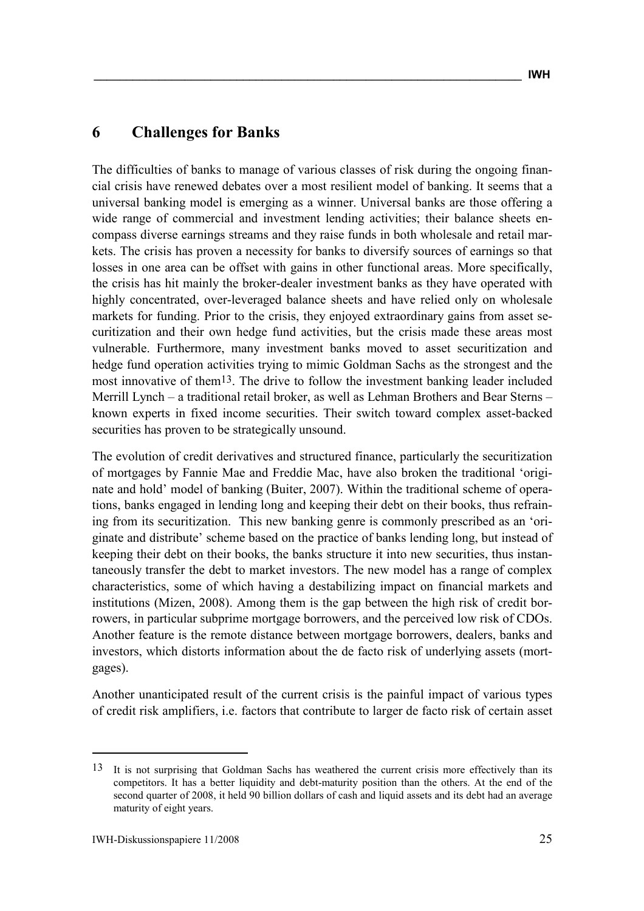#### 6 Challenges for Banks

The difficulties of banks to manage of various classes of risk during the ongoing financial crisis have renewed debates over a most resilient model of banking. It seems that a universal banking model is emerging as a winner. Universal banks are those offering a wide range of commercial and investment lending activities; their balance sheets encompass diverse earnings streams and they raise funds in both wholesale and retail markets. The crisis has proven a necessity for banks to diversify sources of earnings so that losses in one area can be offset with gains in other functional areas. More specifically, the crisis has hit mainly the broker-dealer investment banks as they have operated with highly concentrated, over-leveraged balance sheets and have relied only on wholesale markets for funding. Prior to the crisis, they enjoyed extraordinary gains from asset securitization and their own hedge fund activities, but the crisis made these areas most vulnerable. Furthermore, many investment banks moved to asset securitization and hedge fund operation activities trying to mimic Goldman Sachs as the strongest and the most innovative of them13. The drive to follow the investment banking leader included Merrill Lynch – a traditional retail broker, as well as Lehman Brothers and Bear Sterns – known experts in fixed income securities. Their switch toward complex asset-backed securities has proven to be strategically unsound.

The evolution of credit derivatives and structured finance, particularly the securitization of mortgages by Fannie Mae and Freddie Mac, have also broken the traditional 'originate and hold' model of banking (Buiter, 2007). Within the traditional scheme of operations, banks engaged in lending long and keeping their debt on their books, thus refraining from its securitization. This new banking genre is commonly prescribed as an 'originate and distribute' scheme based on the practice of banks lending long, but instead of keeping their debt on their books, the banks structure it into new securities, thus instantaneously transfer the debt to market investors. The new model has a range of complex characteristics, some of which having a destabilizing impact on financial markets and institutions (Mizen, 2008). Among them is the gap between the high risk of credit borrowers, in particular subprime mortgage borrowers, and the perceived low risk of CDOs. Another feature is the remote distance between mortgage borrowers, dealers, banks and investors, which distorts information about the de facto risk of underlying assets (mortgages).

Another unanticipated result of the current crisis is the painful impact of various types of credit risk amplifiers, i.e. factors that contribute to larger de facto risk of certain asset

<sup>13</sup> It is not surprising that Goldman Sachs has weathered the current crisis more effectively than its competitors. It has a better liquidity and debt-maturity position than the others. At the end of the second quarter of 2008, it held 90 billion dollars of cash and liquid assets and its debt had an average maturity of eight years.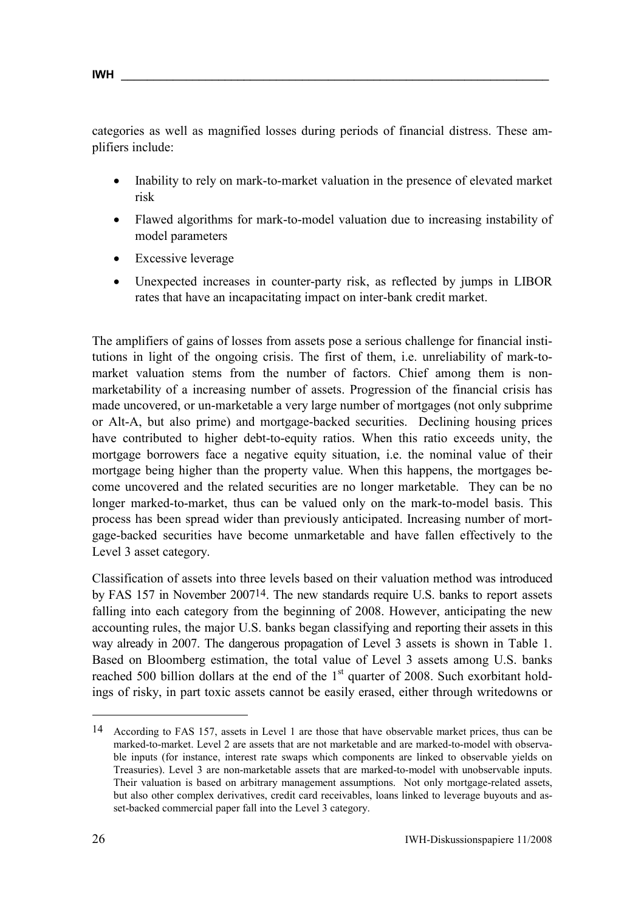categories as well as magnified losses during periods of financial distress. These amplifiers include:

- Inability to rely on mark-to-market valuation in the presence of elevated market risk
- Flawed algorithms for mark-to-model valuation due to increasing instability of model parameters
- Excessive leverage
- Unexpected increases in counter-party risk, as reflected by jumps in LIBOR rates that have an incapacitating impact on inter-bank credit market.

The amplifiers of gains of losses from assets pose a serious challenge for financial institutions in light of the ongoing crisis. The first of them, i.e. unreliability of mark-tomarket valuation stems from the number of factors. Chief among them is nonmarketability of a increasing number of assets. Progression of the financial crisis has made uncovered, or un-marketable a very large number of mortgages (not only subprime or Alt-A, but also prime) and mortgage-backed securities. Declining housing prices have contributed to higher debt-to-equity ratios. When this ratio exceeds unity, the mortgage borrowers face a negative equity situation, i.e. the nominal value of their mortgage being higher than the property value. When this happens, the mortgages become uncovered and the related securities are no longer marketable. They can be no longer marked-to-market, thus can be valued only on the mark-to-model basis. This process has been spread wider than previously anticipated. Increasing number of mortgage-backed securities have become unmarketable and have fallen effectively to the Level 3 asset category.

Classification of assets into three levels based on their valuation method was introduced by FAS 157 in November 200714. The new standards require U.S. banks to report assets falling into each category from the beginning of 2008. However, anticipating the new accounting rules, the major U.S. banks began classifying and reporting their assets in this way already in 2007. The dangerous propagation of Level 3 assets is shown in Table 1. Based on Bloomberg estimation, the total value of Level 3 assets among U.S. banks reached 500 billion dollars at the end of the  $1<sup>st</sup>$  quarter of 2008. Such exorbitant holdings of risky, in part toxic assets cannot be easily erased, either through writedowns or

<sup>14</sup> According to FAS 157, assets in Level 1 are those that have observable market prices, thus can be marked-to-market. Level 2 are assets that are not marketable and are marked-to-model with observable inputs (for instance, interest rate swaps which components are linked to observable yields on Treasuries). Level 3 are non-marketable assets that are marked-to-model with unobservable inputs. Their valuation is based on arbitrary management assumptions. Not only mortgage-related assets, but also other complex derivatives, credit card receivables, loans linked to leverage buyouts and asset-backed commercial paper fall into the Level 3 category.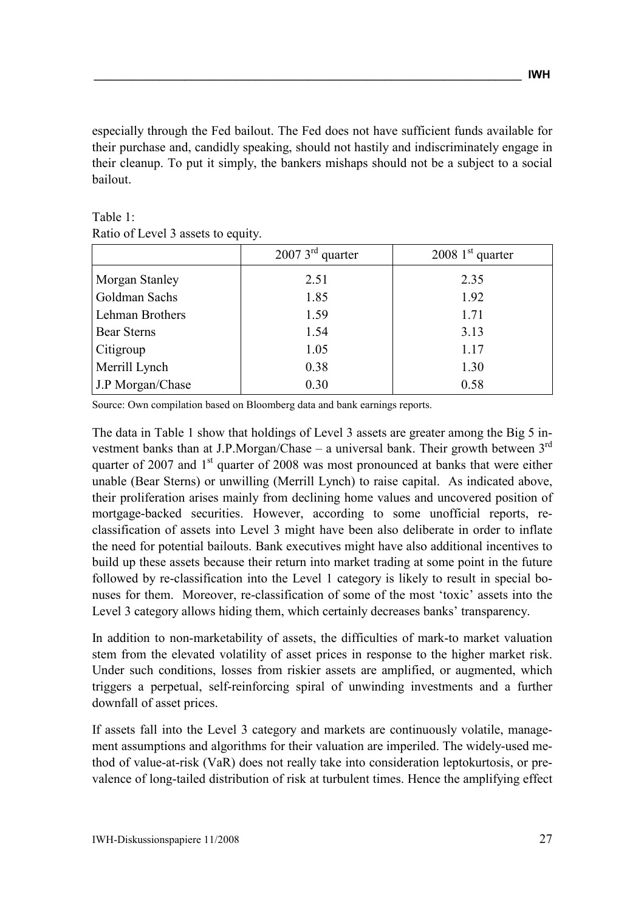especially through the Fed bailout. The Fed does not have sufficient funds available for their purchase and, candidly speaking, should not hastily and indiscriminately engage in their cleanup. To put it simply, the bankers mishaps should not be a subject to a social bailout.

|                    | $20073rd$ quarter | $2008$ 1 <sup>st</sup> quarter |
|--------------------|-------------------|--------------------------------|
| Morgan Stanley     | 2.51              | 2.35                           |
| Goldman Sachs      | 1.85              | 1.92                           |
| Lehman Brothers    | 1.59              | 1.71                           |
| <b>Bear Sterns</b> | 1.54              | 3.13                           |
| Citigroup          | 1.05              | 1.17                           |
| Merrill Lynch      | 0.38              | 1.30                           |
| J.P Morgan/Chase   | 0.30              | 0.58                           |

Table 1: Ratio of Level 3 assets to equity.

Source: Own compilation based on Bloomberg data and bank earnings reports.

The data in Table 1 show that holdings of Level 3 assets are greater among the Big 5 investment banks than at J.P.Morgan/Chase – a universal bank. Their growth between  $3<sup>rd</sup>$ quarter of 2007 and  $1<sup>st</sup>$  quarter of 2008 was most pronounced at banks that were either unable (Bear Sterns) or unwilling (Merrill Lynch) to raise capital. As indicated above, their proliferation arises mainly from declining home values and uncovered position of mortgage-backed securities. However, according to some unofficial reports, reclassification of assets into Level 3 might have been also deliberate in order to inflate the need for potential bailouts. Bank executives might have also additional incentives to build up these assets because their return into market trading at some point in the future followed by re-classification into the Level 1 category is likely to result in special bonuses for them. Moreover, re-classification of some of the most 'toxic' assets into the Level 3 category allows hiding them, which certainly decreases banks' transparency.

In addition to non-marketability of assets, the difficulties of mark-to market valuation stem from the elevated volatility of asset prices in response to the higher market risk. Under such conditions, losses from riskier assets are amplified, or augmented, which triggers a perpetual, self-reinforcing spiral of unwinding investments and a further downfall of asset prices.

If assets fall into the Level 3 category and markets are continuously volatile, management assumptions and algorithms for their valuation are imperiled. The widely-used method of value-at-risk (VaR) does not really take into consideration leptokurtosis, or prevalence of long-tailed distribution of risk at turbulent times. Hence the amplifying effect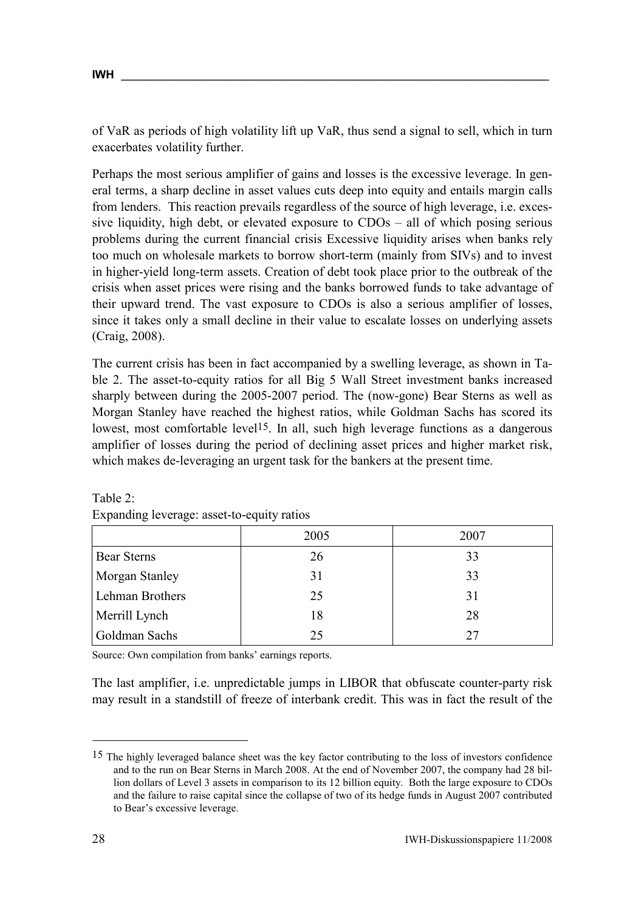of VaR as periods of high volatility lift up VaR, thus send a signal to sell, which in turn exacerbates volatility further.

Perhaps the most serious amplifier of gains and losses is the excessive leverage. In general terms, a sharp decline in asset values cuts deep into equity and entails margin calls from lenders. This reaction prevails regardless of the source of high leverage, i.e. excessive liquidity, high debt, or elevated exposure to CDOs – all of which posing serious problems during the current financial crisis Excessive liquidity arises when banks rely too much on wholesale markets to borrow short-term (mainly from SIVs) and to invest in higher-yield long-term assets. Creation of debt took place prior to the outbreak of the crisis when asset prices were rising and the banks borrowed funds to take advantage of their upward trend. The vast exposure to CDOs is also a serious amplifier of losses, since it takes only a small decline in their value to escalate losses on underlying assets (Craig, 2008).

The current crisis has been in fact accompanied by a swelling leverage, as shown in Table 2. The asset-to-equity ratios for all Big 5 Wall Street investment banks increased sharply between during the 2005-2007 period. The (now-gone) Bear Sterns as well as Morgan Stanley have reached the highest ratios, while Goldman Sachs has scored its lowest, most comfortable level<sup>15</sup>. In all, such high leverage functions as a dangerous amplifier of losses during the period of declining asset prices and higher market risk, which makes de-leveraging an urgent task for the bankers at the present time.

|                       | 2005 | 2007 |
|-----------------------|------|------|
| Bear Sterns           | 26   | 33   |
| <b>Morgan Stanley</b> | 31   | 33   |
| Lehman Brothers       | 25   | 31   |
| Merrill Lynch         | 18   | 28   |
| Goldman Sachs         | 25   | 27   |

Table 2: Expanding leverage: asset-to-equity ratios

Source: Own compilation from banks' earnings reports.

The last amplifier, i.e. unpredictable jumps in LIBOR that obfuscate counter-party risk may result in a standstill of freeze of interbank credit. This was in fact the result of the

<sup>15</sup> The highly leveraged balance sheet was the key factor contributing to the loss of investors confidence and to the run on Bear Sterns in March 2008. At the end of November 2007, the company had 28 billion dollars of Level 3 assets in comparison to its 12 billion equity. Both the large exposure to CDOs and the failure to raise capital since the collapse of two of its hedge funds in August 2007 contributed to Bear's excessive leverage.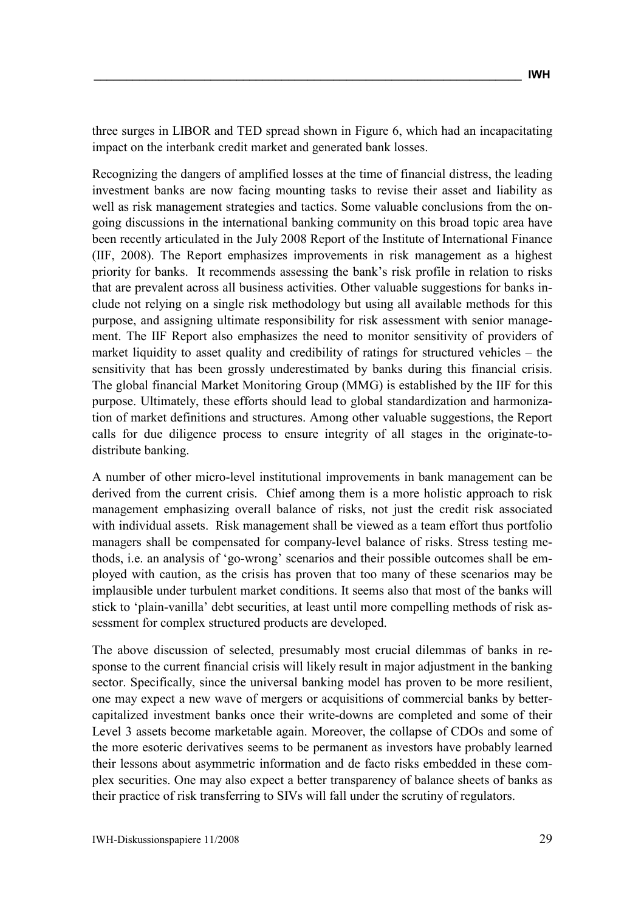three surges in LIBOR and TED spread shown in Figure 6, which had an incapacitating impact on the interbank credit market and generated bank losses.

Recognizing the dangers of amplified losses at the time of financial distress, the leading investment banks are now facing mounting tasks to revise their asset and liability as well as risk management strategies and tactics. Some valuable conclusions from the ongoing discussions in the international banking community on this broad topic area have been recently articulated in the July 2008 Report of the Institute of International Finance (IIF, 2008). The Report emphasizes improvements in risk management as a highest priority for banks. It recommends assessing the bank's risk profile in relation to risks that are prevalent across all business activities. Other valuable suggestions for banks include not relying on a single risk methodology but using all available methods for this purpose, and assigning ultimate responsibility for risk assessment with senior management. The IIF Report also emphasizes the need to monitor sensitivity of providers of market liquidity to asset quality and credibility of ratings for structured vehicles – the sensitivity that has been grossly underestimated by banks during this financial crisis. The global financial Market Monitoring Group (MMG) is established by the IIF for this purpose. Ultimately, these efforts should lead to global standardization and harmonization of market definitions and structures. Among other valuable suggestions, the Report calls for due diligence process to ensure integrity of all stages in the originate-todistribute banking.

A number of other micro-level institutional improvements in bank management can be derived from the current crisis. Chief among them is a more holistic approach to risk management emphasizing overall balance of risks, not just the credit risk associated with individual assets. Risk management shall be viewed as a team effort thus portfolio managers shall be compensated for company-level balance of risks. Stress testing methods, i.e. an analysis of 'go-wrong' scenarios and their possible outcomes shall be employed with caution, as the crisis has proven that too many of these scenarios may be implausible under turbulent market conditions. It seems also that most of the banks will stick to 'plain-vanilla' debt securities, at least until more compelling methods of risk assessment for complex structured products are developed.

The above discussion of selected, presumably most crucial dilemmas of banks in response to the current financial crisis will likely result in major adjustment in the banking sector. Specifically, since the universal banking model has proven to be more resilient, one may expect a new wave of mergers or acquisitions of commercial banks by bettercapitalized investment banks once their write-downs are completed and some of their Level 3 assets become marketable again. Moreover, the collapse of CDOs and some of the more esoteric derivatives seems to be permanent as investors have probably learned their lessons about asymmetric information and de facto risks embedded in these complex securities. One may also expect a better transparency of balance sheets of banks as their practice of risk transferring to SIVs will fall under the scrutiny of regulators.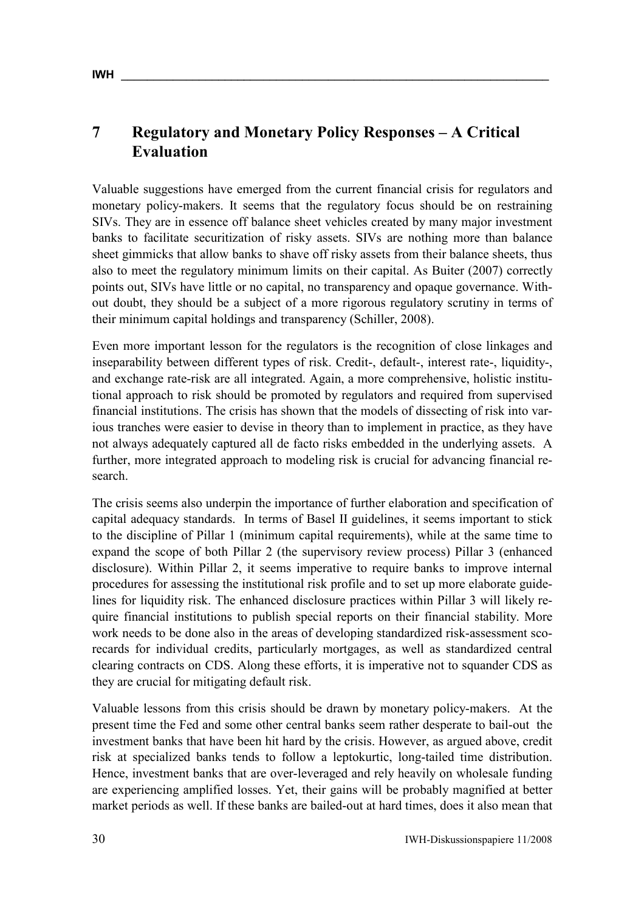IWH \_\_\_\_\_\_\_\_\_\_\_\_\_\_\_\_\_\_\_\_\_\_\_\_\_\_\_\_\_\_\_\_\_\_\_\_\_\_\_\_\_\_\_\_\_\_\_\_\_\_\_\_\_\_\_\_\_\_\_\_\_\_\_\_\_\_

### 7 Regulatory and Monetary Policy Responses – A Critical Evaluation

Valuable suggestions have emerged from the current financial crisis for regulators and monetary policy-makers. It seems that the regulatory focus should be on restraining SIVs. They are in essence off balance sheet vehicles created by many major investment banks to facilitate securitization of risky assets. SIVs are nothing more than balance sheet gimmicks that allow banks to shave off risky assets from their balance sheets, thus also to meet the regulatory minimum limits on their capital. As Buiter (2007) correctly points out, SIVs have little or no capital, no transparency and opaque governance. Without doubt, they should be a subject of a more rigorous regulatory scrutiny in terms of their minimum capital holdings and transparency (Schiller, 2008).

Even more important lesson for the regulators is the recognition of close linkages and inseparability between different types of risk. Credit-, default-, interest rate-, liquidity-, and exchange rate-risk are all integrated. Again, a more comprehensive, holistic institutional approach to risk should be promoted by regulators and required from supervised financial institutions. The crisis has shown that the models of dissecting of risk into various tranches were easier to devise in theory than to implement in practice, as they have not always adequately captured all de facto risks embedded in the underlying assets. A further, more integrated approach to modeling risk is crucial for advancing financial research.

The crisis seems also underpin the importance of further elaboration and specification of capital adequacy standards. In terms of Basel II guidelines, it seems important to stick to the discipline of Pillar 1 (minimum capital requirements), while at the same time to expand the scope of both Pillar 2 (the supervisory review process) Pillar 3 (enhanced disclosure). Within Pillar 2, it seems imperative to require banks to improve internal procedures for assessing the institutional risk profile and to set up more elaborate guidelines for liquidity risk. The enhanced disclosure practices within Pillar 3 will likely require financial institutions to publish special reports on their financial stability. More work needs to be done also in the areas of developing standardized risk-assessment scorecards for individual credits, particularly mortgages, as well as standardized central clearing contracts on CDS. Along these efforts, it is imperative not to squander CDS as they are crucial for mitigating default risk.

Valuable lessons from this crisis should be drawn by monetary policy-makers. At the present time the Fed and some other central banks seem rather desperate to bail-out the investment banks that have been hit hard by the crisis. However, as argued above, credit risk at specialized banks tends to follow a leptokurtic, long-tailed time distribution. Hence, investment banks that are over-leveraged and rely heavily on wholesale funding are experiencing amplified losses. Yet, their gains will be probably magnified at better market periods as well. If these banks are bailed-out at hard times, does it also mean that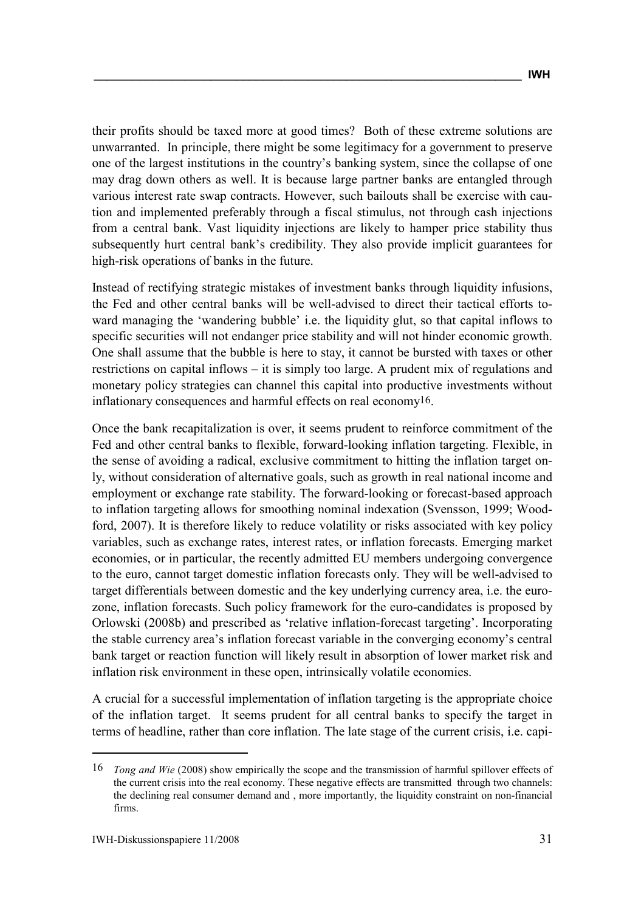their profits should be taxed more at good times? Both of these extreme solutions are unwarranted. In principle, there might be some legitimacy for a government to preserve one of the largest institutions in the country's banking system, since the collapse of one may drag down others as well. It is because large partner banks are entangled through various interest rate swap contracts. However, such bailouts shall be exercise with caution and implemented preferably through a fiscal stimulus, not through cash injections from a central bank. Vast liquidity injections are likely to hamper price stability thus subsequently hurt central bank's credibility. They also provide implicit guarantees for high-risk operations of banks in the future.

Instead of rectifying strategic mistakes of investment banks through liquidity infusions, the Fed and other central banks will be well-advised to direct their tactical efforts toward managing the 'wandering bubble' i.e. the liquidity glut, so that capital inflows to specific securities will not endanger price stability and will not hinder economic growth. One shall assume that the bubble is here to stay, it cannot be bursted with taxes or other restrictions on capital inflows – it is simply too large. A prudent mix of regulations and monetary policy strategies can channel this capital into productive investments without inflationary consequences and harmful effects on real economy16.

Once the bank recapitalization is over, it seems prudent to reinforce commitment of the Fed and other central banks to flexible, forward-looking inflation targeting. Flexible, in the sense of avoiding a radical, exclusive commitment to hitting the inflation target only, without consideration of alternative goals, such as growth in real national income and employment or exchange rate stability. The forward-looking or forecast-based approach to inflation targeting allows for smoothing nominal indexation (Svensson, 1999; Woodford, 2007). It is therefore likely to reduce volatility or risks associated with key policy variables, such as exchange rates, interest rates, or inflation forecasts. Emerging market economies, or in particular, the recently admitted EU members undergoing convergence to the euro, cannot target domestic inflation forecasts only. They will be well-advised to target differentials between domestic and the key underlying currency area, i.e. the eurozone, inflation forecasts. Such policy framework for the euro-candidates is proposed by Orlowski (2008b) and prescribed as 'relative inflation-forecast targeting'. Incorporating the stable currency area's inflation forecast variable in the converging economy's central bank target or reaction function will likely result in absorption of lower market risk and inflation risk environment in these open, intrinsically volatile economies.

A crucial for a successful implementation of inflation targeting is the appropriate choice of the inflation target. It seems prudent for all central banks to specify the target in terms of headline, rather than core inflation. The late stage of the current crisis, i.e. capi-

<sup>16</sup> Tong and Wie (2008) show empirically the scope and the transmission of harmful spillover effects of the current crisis into the real economy. These negative effects are transmitted through two channels: the declining real consumer demand and , more importantly, the liquidity constraint on non-financial firms.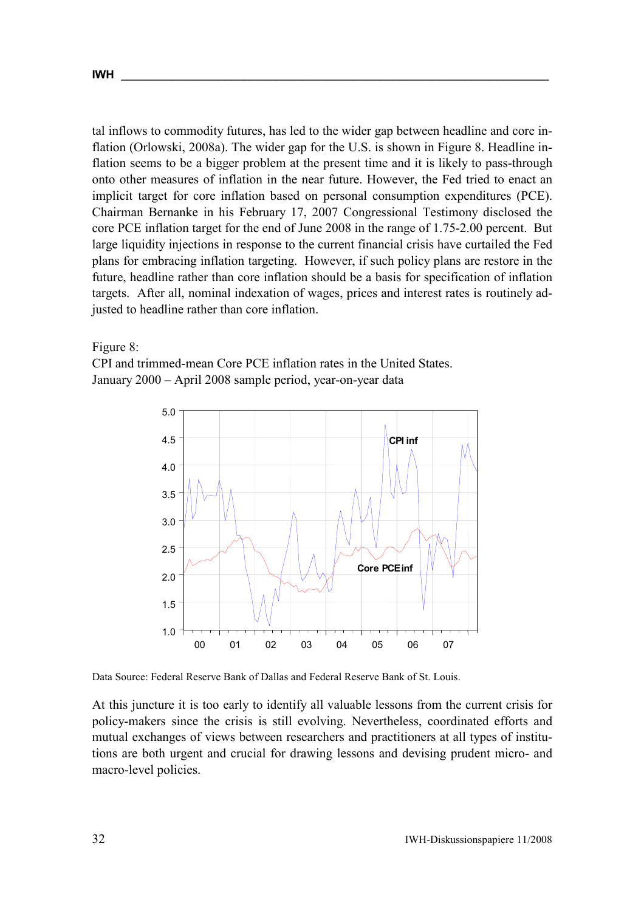tal inflows to commodity futures, has led to the wider gap between headline and core inflation (Orlowski, 2008a). The wider gap for the U.S. is shown in Figure 8. Headline inflation seems to be a bigger problem at the present time and it is likely to pass-through onto other measures of inflation in the near future. However, the Fed tried to enact an implicit target for core inflation based on personal consumption expenditures (PCE). Chairman Bernanke in his February 17, 2007 Congressional Testimony disclosed the core PCE inflation target for the end of June 2008 in the range of 1.75-2.00 percent. But large liquidity injections in response to the current financial crisis have curtailed the Fed plans for embracing inflation targeting. However, if such policy plans are restore in the future, headline rather than core inflation should be a basis for specification of inflation targets. After all, nominal indexation of wages, prices and interest rates is routinely adjusted to headline rather than core inflation.

Figure 8:

CPI and trimmed-mean Core PCE inflation rates in the United States. January 2000 – April 2008 sample period, year-on-year data



Data Source: Federal Reserve Bank of Dallas and Federal Reserve Bank of St. Louis.

At this juncture it is too early to identify all valuable lessons from the current crisis for policy-makers since the crisis is still evolving. Nevertheless, coordinated efforts and mutual exchanges of views between researchers and practitioners at all types of institutions are both urgent and crucial for drawing lessons and devising prudent micro- and macro-level policies.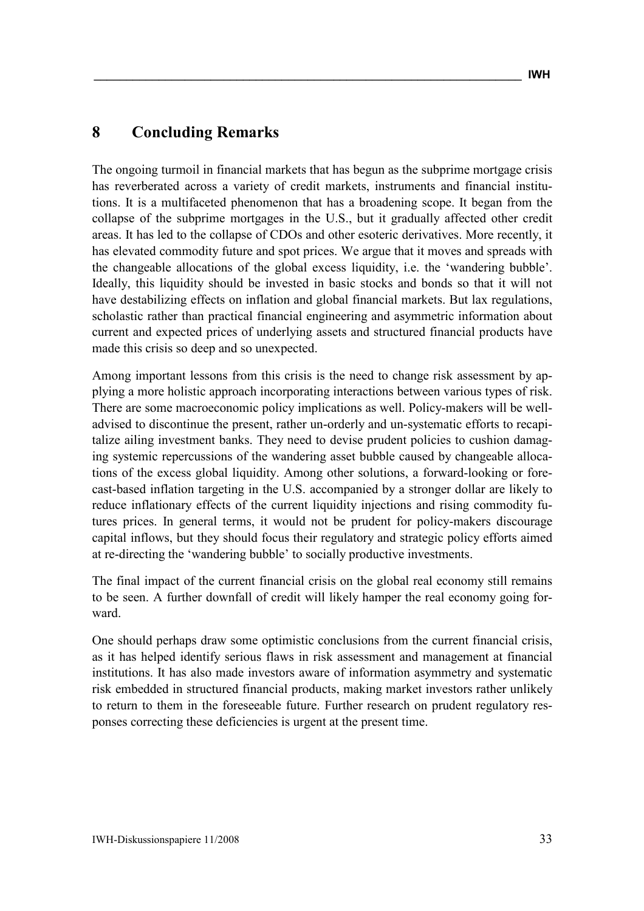#### 8 Concluding Remarks

The ongoing turmoil in financial markets that has begun as the subprime mortgage crisis has reverberated across a variety of credit markets, instruments and financial institutions. It is a multifaceted phenomenon that has a broadening scope. It began from the collapse of the subprime mortgages in the U.S., but it gradually affected other credit areas. It has led to the collapse of CDOs and other esoteric derivatives. More recently, it has elevated commodity future and spot prices. We argue that it moves and spreads with the changeable allocations of the global excess liquidity, i.e. the 'wandering bubble'. Ideally, this liquidity should be invested in basic stocks and bonds so that it will not have destabilizing effects on inflation and global financial markets. But lax regulations, scholastic rather than practical financial engineering and asymmetric information about current and expected prices of underlying assets and structured financial products have made this crisis so deep and so unexpected.

Among important lessons from this crisis is the need to change risk assessment by applying a more holistic approach incorporating interactions between various types of risk. There are some macroeconomic policy implications as well. Policy-makers will be welladvised to discontinue the present, rather un-orderly and un-systematic efforts to recapitalize ailing investment banks. They need to devise prudent policies to cushion damaging systemic repercussions of the wandering asset bubble caused by changeable allocations of the excess global liquidity. Among other solutions, a forward-looking or forecast-based inflation targeting in the U.S. accompanied by a stronger dollar are likely to reduce inflationary effects of the current liquidity injections and rising commodity futures prices. In general terms, it would not be prudent for policy-makers discourage capital inflows, but they should focus their regulatory and strategic policy efforts aimed at re-directing the 'wandering bubble' to socially productive investments.

The final impact of the current financial crisis on the global real economy still remains to be seen. A further downfall of credit will likely hamper the real economy going forward.

One should perhaps draw some optimistic conclusions from the current financial crisis, as it has helped identify serious flaws in risk assessment and management at financial institutions. It has also made investors aware of information asymmetry and systematic risk embedded in structured financial products, making market investors rather unlikely to return to them in the foreseeable future. Further research on prudent regulatory responses correcting these deficiencies is urgent at the present time.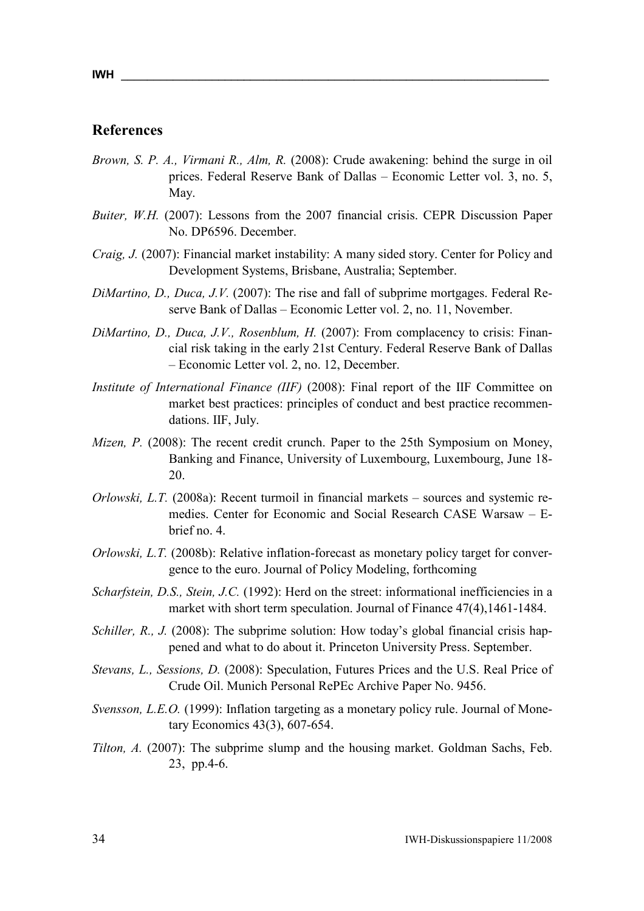#### **References**

- Brown, S. P. A., Virmani R., Alm, R. (2008): Crude awakening: behind the surge in oil prices. Federal Reserve Bank of Dallas – Economic Letter vol. 3, no. 5, May.
- Buiter, W.H. (2007): Lessons from the 2007 financial crisis. CEPR Discussion Paper No. DP6596. December.
- Craig, J. (2007): Financial market instability: A many sided story. Center for Policy and Development Systems, Brisbane, Australia; September.
- DiMartino, D., Duca, J.V. (2007): The rise and fall of subprime mortgages. Federal Reserve Bank of Dallas – Economic Letter vol. 2, no. 11, November.
- DiMartino, D., Duca, J.V., Rosenblum, H. (2007): From complacency to crisis: Financial risk taking in the early 21st Century. Federal Reserve Bank of Dallas – Economic Letter vol. 2, no. 12, December.
- Institute of International Finance (IIF) (2008): Final report of the IIF Committee on market best practices: principles of conduct and best practice recommendations. IIF, July.
- Mizen, P. (2008): The recent credit crunch. Paper to the 25th Symposium on Money, Banking and Finance, University of Luxembourg, Luxembourg, June 18- 20.
- Orlowski, L.T. (2008a): Recent turmoil in financial markets sources and systemic remedies. Center for Economic and Social Research CASE Warsaw – Ebrief no. 4.
- Orlowski, L.T. (2008b): Relative inflation-forecast as monetary policy target for convergence to the euro. Journal of Policy Modeling, forthcoming
- Scharfstein, D.S., Stein, J.C. (1992): Herd on the street: informational inefficiencies in a market with short term speculation. Journal of Finance 47(4),1461-1484.
- Schiller, R., J. (2008): The subprime solution: How today's global financial crisis happened and what to do about it. Princeton University Press. September.
- Stevans, L., Sessions, D. (2008): Speculation, Futures Prices and the U.S. Real Price of Crude Oil. Munich Personal RePEc Archive Paper No. 9456.
- Svensson, L.E.O. (1999): Inflation targeting as a monetary policy rule. Journal of Monetary Economics 43(3), 607-654.
- Tilton, A. (2007): The subprime slump and the housing market. Goldman Sachs, Feb. 23, pp.4-6.